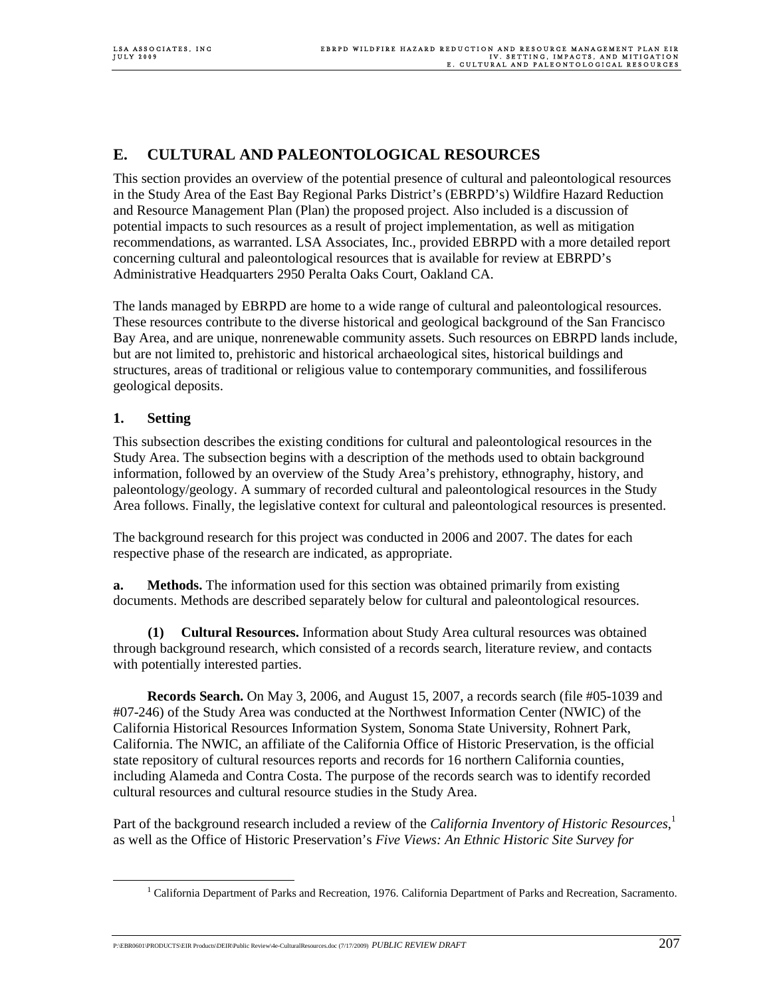# **E. CULTURAL AND PALEONTOLOGICAL RESOURCES**

This section provides an overview of the potential presence of cultural and paleontological resources in the Study Area of the East Bay Regional Parks District's (EBRPD's) Wildfire Hazard Reduction and Resource Management Plan (Plan) the proposed project. Also included is a discussion of potential impacts to such resources as a result of project implementation, as well as mitigation recommendations, as warranted. LSA Associates, Inc., provided EBRPD with a more detailed report concerning cultural and paleontological resources that is available for review at EBRPD's Administrative Headquarters 2950 Peralta Oaks Court, Oakland CA.

The lands managed by EBRPD are home to a wide range of cultural and paleontological resources. These resources contribute to the diverse historical and geological background of the San Francisco Bay Area, and are unique, nonrenewable community assets. Such resources on EBRPD lands include, but are not limited to, prehistoric and historical archaeological sites, historical buildings and structures, areas of traditional or religious value to contemporary communities, and fossiliferous geological deposits.

## **1. Setting**

This subsection describes the existing conditions for cultural and paleontological resources in the Study Area. The subsection begins with a description of the methods used to obtain background information, followed by an overview of the Study Area's prehistory, ethnography, history, and paleontology/geology. A summary of recorded cultural and paleontological resources in the Study Area follows. Finally, the legislative context for cultural and paleontological resources is presented.

The background research for this project was conducted in 2006 and 2007. The dates for each respective phase of the research are indicated, as appropriate.

**a. Methods.** The information used for this section was obtained primarily from existing documents. Methods are described separately below for cultural and paleontological resources.

**(1) Cultural Resources.** Information about Study Area cultural resources was obtained through background research, which consisted of a records search, literature review, and contacts with potentially interested parties.

**Records Search.** On May 3, 2006, and August 15, 2007, a records search (file #05-1039 and #07-246) of the Study Area was conducted at the Northwest Information Center (NWIC) of the California Historical Resources Information System, Sonoma State University, Rohnert Park, California. The NWIC, an affiliate of the California Office of Historic Preservation, is the official state repository of cultural resources reports and records for 16 northern California counties, including Alameda and Contra Costa. The purpose of the records search was to identify recorded cultural resources and cultural resource studies in the Study Area.

Part of the background research included a review of the *California Inventory of Historic Resources*, 1 as well as the Office of Historic Preservation's *Five Views: An Ethnic Historic Site Survey for* 

P:\EBR0601\PRODUCTS\EIR Products\DEIR\Public Review\4e-CulturalResources.doc (7/17/2009) *PUBLIC REVIEW DRAFT* 207

 $\frac{1}{1}$ <sup>1</sup> California Department of Parks and Recreation, 1976. California Department of Parks and Recreation, Sacramento.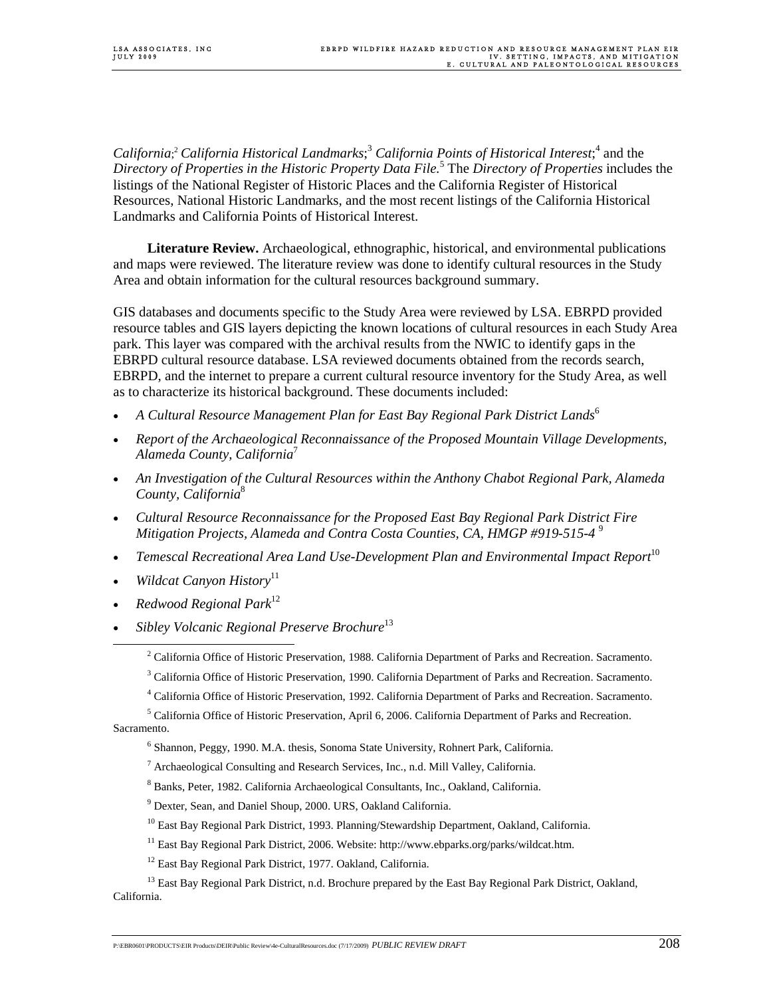California;<sup>2</sup> California Historical Landmarks;<sup>3</sup> California Points of Historical Interest;<sup>4</sup> and the *Directory of Properties in the Historic Property Data File.*<sup>5</sup> The *Directory of Properties* includes the listings of the National Register of Historic Places and the California Register of Historical Resources, National Historic Landmarks, and the most recent listings of the California Historical Landmarks and California Points of Historical Interest.

 **Literature Review.** Archaeological, ethnographic, historical, and environmental publications and maps were reviewed. The literature review was done to identify cultural resources in the Study Area and obtain information for the cultural resources background summary.

GIS databases and documents specific to the Study Area were reviewed by LSA. EBRPD provided resource tables and GIS layers depicting the known locations of cultural resources in each Study Area park. This layer was compared with the archival results from the NWIC to identify gaps in the EBRPD cultural resource database. LSA reviewed documents obtained from the records search, EBRPD, and the internet to prepare a current cultural resource inventory for the Study Area, as well as to characterize its historical background. These documents included:

- *A Cultural Resource Management Plan for East Bay Regional Park District Lands*<sup>6</sup>
- *Report of the Archaeological Reconnaissance of the Proposed Mountain Village Developments, Alameda County, California*<sup>7</sup>
- *An Investigation of the Cultural Resources within the Anthony Chabot Regional Park, Alameda County, California*<sup>8</sup>
- *Cultural Resource Reconnaissance for the Proposed East Bay Regional Park District Fire Mitigation Projects, Alameda and Contra Costa Counties, CA, HMGP #919-515-4* <sup>9</sup>
- *Temescal Recreational Area Land Use-Development Plan and Environmental Impact Report*<sup>10</sup>
- *Wildcat Canyon History*<sup>11</sup>
- *Redwood Regional Park*<sup>12</sup>
- *Sibley Volcanic Regional Preserve Brochure*<sup>13</sup>

 <sup>2</sup> <sup>2</sup> California Office of Historic Preservation, 1988. California Department of Parks and Recreation. Sacramento.

<sup>&</sup>lt;sup>3</sup> California Office of Historic Preservation, 1990. California Department of Parks and Recreation. Sacramento.

<sup>4</sup> California Office of Historic Preservation, 1992. California Department of Parks and Recreation. Sacramento.

<sup>&</sup>lt;sup>5</sup> California Office of Historic Preservation, April 6, 2006. California Department of Parks and Recreation. Sacramento.

<sup>&</sup>lt;sup>6</sup> Shannon, Peggy, 1990. M.A. thesis, Sonoma State University, Rohnert Park, California.

<sup>&</sup>lt;sup>7</sup> Archaeological Consulting and Research Services, Inc., n.d. Mill Valley, California.

<sup>8</sup> Banks, Peter, 1982. California Archaeological Consultants, Inc., Oakland, California.

<sup>&</sup>lt;sup>9</sup> Dexter, Sean, and Daniel Shoup, 2000. URS, Oakland California.

<sup>&</sup>lt;sup>10</sup> East Bay Regional Park District, 1993. Planning/Stewardship Department, Oakland, California.

<sup>&</sup>lt;sup>11</sup> East Bay Regional Park District, 2006. Website: http://www.ebparks.org/parks/wildcat.htm.

<sup>12</sup> East Bay Regional Park District, 1977. Oakland, California.

<sup>&</sup>lt;sup>13</sup> East Bay Regional Park District, n.d. Brochure prepared by the East Bay Regional Park District, Oakland, California.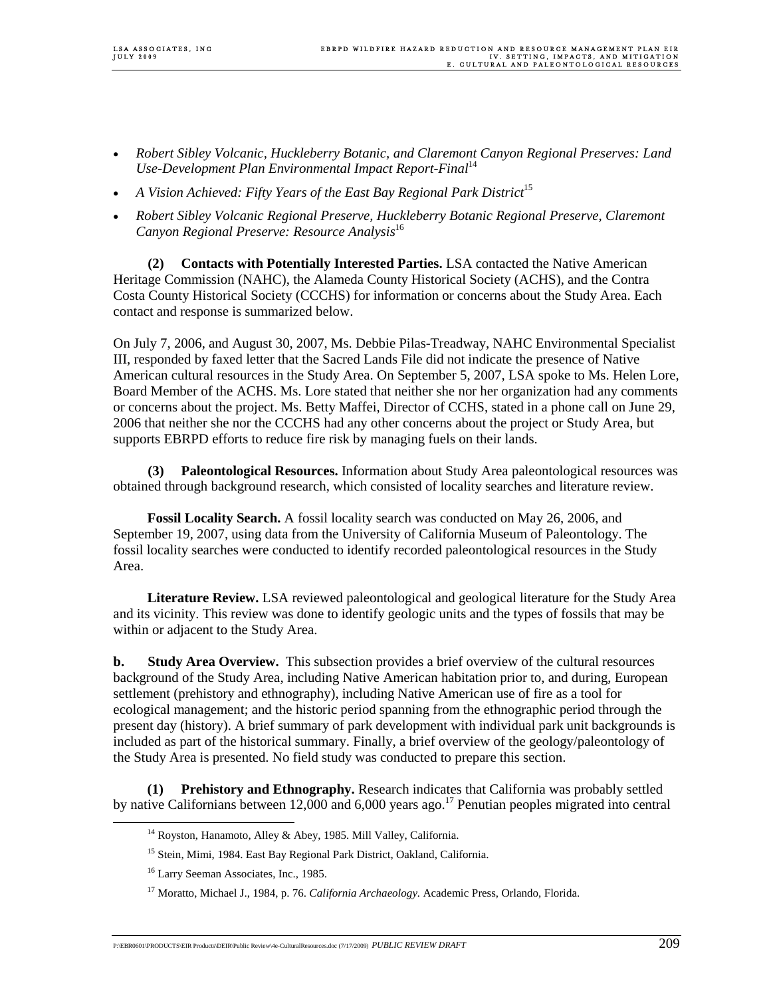- *Robert Sibley Volcanic, Huckleberry Botanic, and Claremont Canyon Regional Preserves: Land Use-Development Plan Environmental Impact Report-Final*<sup>14</sup>
- *A Vision Achieved: Fifty Years of the East Bay Regional Park District*<sup>15</sup>
- *Robert Sibley Volcanic Regional Preserve, Huckleberry Botanic Regional Preserve, Claremont Canyon Regional Preserve: Resource Analysis*<sup>16</sup>

**(2) Contacts with Potentially Interested Parties.** LSA contacted the Native American Heritage Commission (NAHC), the Alameda County Historical Society (ACHS), and the Contra Costa County Historical Society (CCCHS) for information or concerns about the Study Area. Each contact and response is summarized below.

On July 7, 2006, and August 30, 2007, Ms. Debbie Pilas-Treadway, NAHC Environmental Specialist III, responded by faxed letter that the Sacred Lands File did not indicate the presence of Native American cultural resources in the Study Area. On September 5, 2007, LSA spoke to Ms. Helen Lore, Board Member of the ACHS. Ms. Lore stated that neither she nor her organization had any comments or concerns about the project. Ms. Betty Maffei, Director of CCHS, stated in a phone call on June 29, 2006 that neither she nor the CCCHS had any other concerns about the project or Study Area, but supports EBRPD efforts to reduce fire risk by managing fuels on their lands.

**(3) Paleontological Resources.** Information about Study Area paleontological resources was obtained through background research, which consisted of locality searches and literature review.

 **Fossil Locality Search.** A fossil locality search was conducted on May 26, 2006, and September 19, 2007, using data from the University of California Museum of Paleontology. The fossil locality searches were conducted to identify recorded paleontological resources in the Study Area.

 **Literature Review.** LSA reviewed paleontological and geological literature for the Study Area and its vicinity. This review was done to identify geologic units and the types of fossils that may be within or adjacent to the Study Area.

**b. Study Area Overview.** This subsection provides a brief overview of the cultural resources background of the Study Area, including Native American habitation prior to, and during, European settlement (prehistory and ethnography), including Native American use of fire as a tool for ecological management; and the historic period spanning from the ethnographic period through the present day (history). A brief summary of park development with individual park unit backgrounds is included as part of the historical summary. Finally, a brief overview of the geology/paleontology of the Study Area is presented. No field study was conducted to prepare this section.

 **(1) Prehistory and Ethnography.** Research indicates that California was probably settled by native Californians between 12,000 and 6,000 years ago.<sup>17</sup> Penutian peoples migrated into central

<sup>&</sup>lt;sup>14</sup> Royston, Hanamoto, Alley & Abey, 1985. Mill Valley, California.

<sup>&</sup>lt;sup>15</sup> Stein, Mimi, 1984. East Bay Regional Park District, Oakland, California.

<sup>&</sup>lt;sup>16</sup> Larry Seeman Associates, Inc., 1985.

<sup>17</sup> Moratto, Michael J., 1984, p. 76. *California Archaeology.* Academic Press, Orlando, Florida.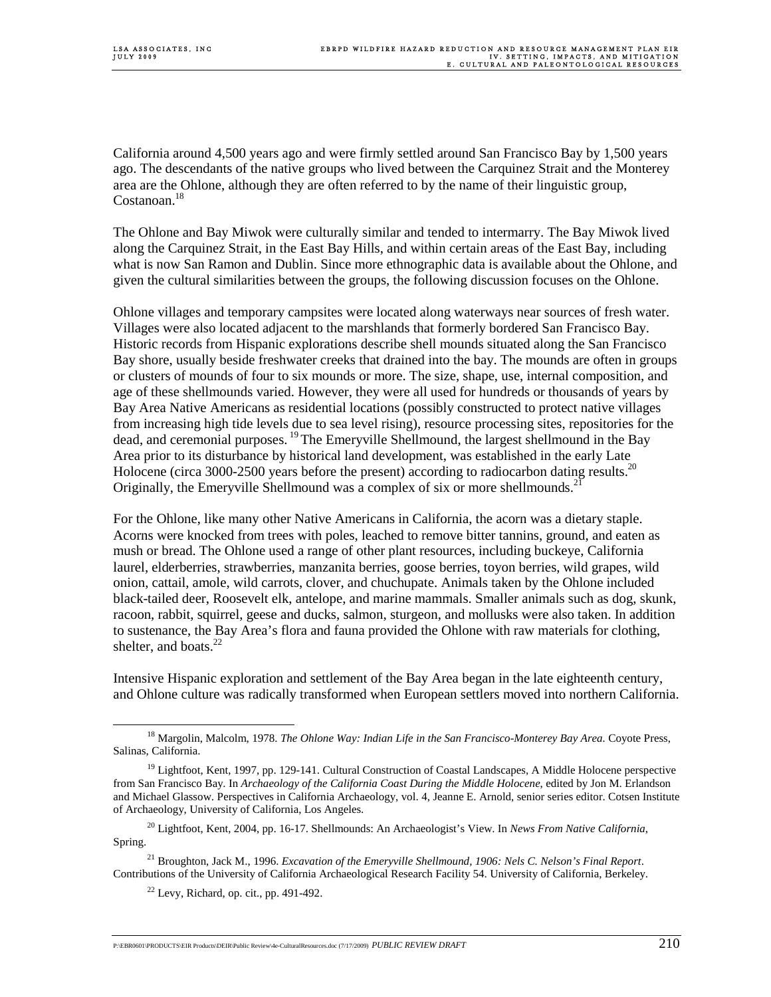California around 4,500 years ago and were firmly settled around San Francisco Bay by 1,500 years ago. The descendants of the native groups who lived between the Carquinez Strait and the Monterey area are the Ohlone, although they are often referred to by the name of their linguistic group, Costanoan.<sup>18</sup>

The Ohlone and Bay Miwok were culturally similar and tended to intermarry. The Bay Miwok lived along the Carquinez Strait, in the East Bay Hills, and within certain areas of the East Bay, including what is now San Ramon and Dublin. Since more ethnographic data is available about the Ohlone, and given the cultural similarities between the groups, the following discussion focuses on the Ohlone.

Ohlone villages and temporary campsites were located along waterways near sources of fresh water. Villages were also located adjacent to the marshlands that formerly bordered San Francisco Bay. Historic records from Hispanic explorations describe shell mounds situated along the San Francisco Bay shore, usually beside freshwater creeks that drained into the bay. The mounds are often in groups or clusters of mounds of four to six mounds or more. The size, shape, use, internal composition, and age of these shellmounds varied. However, they were all used for hundreds or thousands of years by Bay Area Native Americans as residential locations (possibly constructed to protect native villages from increasing high tide levels due to sea level rising), resource processing sites, repositories for the dead, and ceremonial purposes. <sup>19</sup> The Emeryville Shellmound, the largest shellmound in the Bay Area prior to its disturbance by historical land development, was established in the early Late Holocene (circa 3000-2500 years before the present) according to radiocarbon dating results.<sup>20</sup> Originally, the Emeryville Shellmound was a complex of six or more shellmounds.<sup>21</sup>

For the Ohlone, like many other Native Americans in California, the acorn was a dietary staple. Acorns were knocked from trees with poles, leached to remove bitter tannins, ground, and eaten as mush or bread. The Ohlone used a range of other plant resources, including buckeye, California laurel, elderberries, strawberries, manzanita berries, goose berries, toyon berries, wild grapes, wild onion, cattail, amole, wild carrots, clover, and chuchupate. Animals taken by the Ohlone included black-tailed deer, Roosevelt elk, antelope, and marine mammals. Smaller animals such as dog, skunk, racoon, rabbit, squirrel, geese and ducks, salmon, sturgeon, and mollusks were also taken. In addition to sustenance, the Bay Area's flora and fauna provided the Ohlone with raw materials for clothing, shelter, and boats. $^{22}$ 

Intensive Hispanic exploration and settlement of the Bay Area began in the late eighteenth century, and Ohlone culture was radically transformed when European settlers moved into northern California.

<sup>&</sup>lt;sup>18</sup> Margolin, Malcolm, 1978. *The Ohlone Way: Indian Life in the San Francisco-Monterey Bay Area.* Coyote Press, Salinas, California.

 $19$  Lightfoot, Kent, 1997, pp. 129-141. Cultural Construction of Coastal Landscapes, A Middle Holocene perspective from San Francisco Bay. In *Archaeology of the California Coast During the Middle Holocene*, edited by Jon M. Erlandson and Michael Glassow. Perspectives in California Archaeology, vol. 4, Jeanne E. Arnold, senior series editor. Cotsen Institute of Archaeology, University of California, Los Angeles.

<sup>20</sup> Lightfoot, Kent, 2004, pp. 16-17. Shellmounds: An Archaeologist's View. In *News From Native California*, Spring.

<sup>21</sup> Broughton, Jack M., 1996. *Excavation of the Emeryville Shellmound, 1906: Nels C. Nelson's Final Report*. Contributions of the University of California Archaeological Research Facility 54. University of California, Berkeley.

 $22$  Levy, Richard, op. cit., pp. 491-492.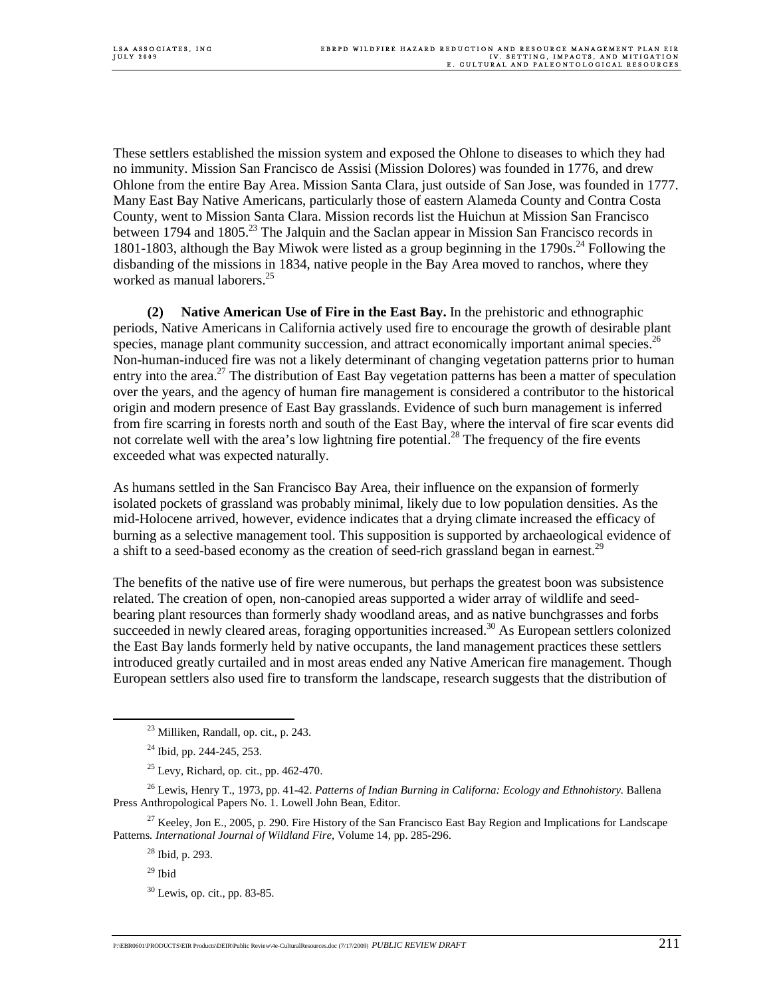These settlers established the mission system and exposed the Ohlone to diseases to which they had no immunity. Mission San Francisco de Assisi (Mission Dolores) was founded in 1776, and drew Ohlone from the entire Bay Area. Mission Santa Clara, just outside of San Jose, was founded in 1777. Many East Bay Native Americans, particularly those of eastern Alameda County and Contra Costa County, went to Mission Santa Clara. Mission records list the Huichun at Mission San Francisco between 1794 and 1805.<sup>23</sup> The Jalquin and the Saclan appear in Mission San Francisco records in 1801-1803, although the Bay Miwok were listed as a group beginning in the  $1790s<sup>24</sup>$  Following the disbanding of the missions in 1834, native people in the Bay Area moved to ranchos, where they worked as manual laborers.<sup>25</sup>

 **(2) Native American Use of Fire in the East Bay.** In the prehistoric and ethnographic periods, Native Americans in California actively used fire to encourage the growth of desirable plant species, manage plant community succession, and attract economically important animal species.<sup>26</sup> Non-human-induced fire was not a likely determinant of changing vegetation patterns prior to human entry into the area.<sup>27</sup> The distribution of East Bay vegetation patterns has been a matter of speculation over the years, and the agency of human fire management is considered a contributor to the historical origin and modern presence of East Bay grasslands. Evidence of such burn management is inferred from fire scarring in forests north and south of the East Bay, where the interval of fire scar events did not correlate well with the area's low lightning fire potential.<sup>28</sup> The frequency of the fire events exceeded what was expected naturally.

As humans settled in the San Francisco Bay Area, their influence on the expansion of formerly isolated pockets of grassland was probably minimal, likely due to low population densities. As the mid-Holocene arrived, however, evidence indicates that a drying climate increased the efficacy of burning as a selective management tool. This supposition is supported by archaeological evidence of a shift to a seed-based economy as the creation of seed-rich grassland began in earnest.<sup>29</sup>

The benefits of the native use of fire were numerous, but perhaps the greatest boon was subsistence related. The creation of open, non-canopied areas supported a wider array of wildlife and seedbearing plant resources than formerly shady woodland areas, and as native bunchgrasses and forbs succeeded in newly cleared areas, foraging opportunities increased.<sup>30</sup> As European settlers colonized the East Bay lands formerly held by native occupants, the land management practices these settlers introduced greatly curtailed and in most areas ended any Native American fire management. Though European settlers also used fire to transform the landscape, research suggests that the distribution of

<sup>27</sup> Keeley, Jon E., 2005, p. 290. Fire History of the San Francisco East Bay Region and Implications for Landscape Patterns*. International Journal of Wildland Fire*, Volume 14, pp. 285-296.

 <sup>23</sup> Milliken, Randall, op. cit., p. 243.

 $24$  Ibid, pp. 244-245, 253.

 $25$  Levy, Richard, op. cit., pp. 462-470.

<sup>&</sup>lt;sup>26</sup> Lewis, Henry T., 1973, pp. 41-42. *Patterns of Indian Burning in Californa: Ecology and Ethnohistory*. Ballena Press Anthropological Papers No. 1. Lowell John Bean, Editor.

<sup>28</sup> Ibid, p. 293.

 $29$  Ibid

<sup>30</sup> Lewis, op. cit., pp. 83-85.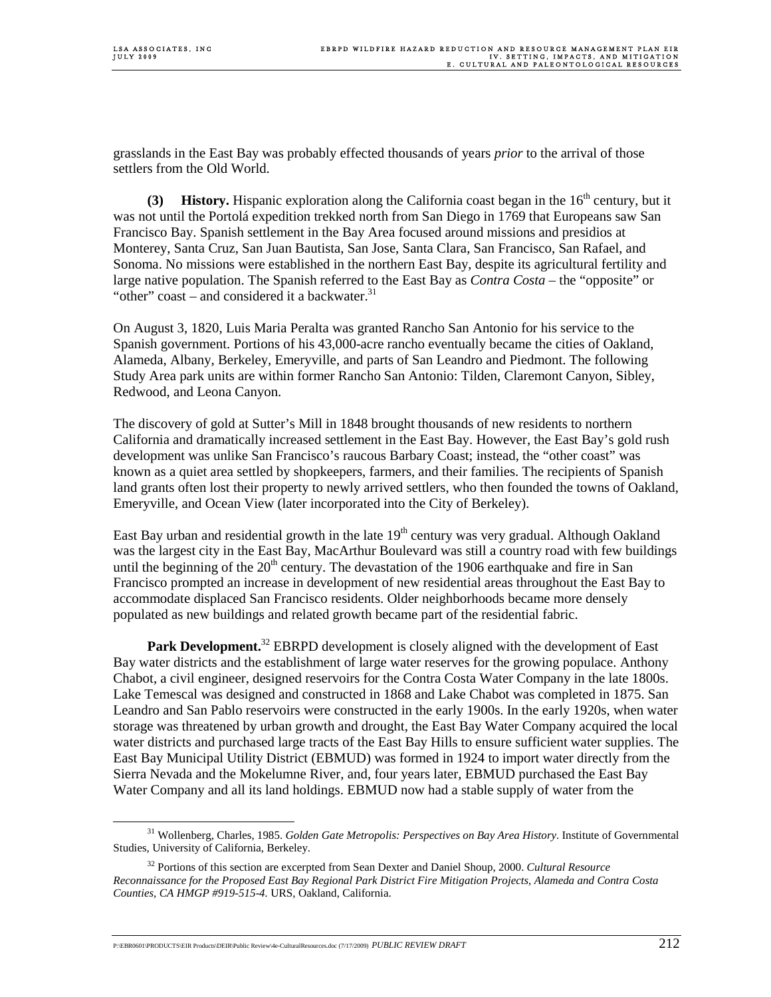grasslands in the East Bay was probably effected thousands of years *prior* to the arrival of those settlers from the Old World.

**(3) History.** Hispanic exploration along the California coast began in the  $16<sup>th</sup>$  century, but it was not until the Portolá expedition trekked north from San Diego in 1769 that Europeans saw San Francisco Bay. Spanish settlement in the Bay Area focused around missions and presidios at Monterey, Santa Cruz, San Juan Bautista, San Jose, Santa Clara, San Francisco, San Rafael, and Sonoma. No missions were established in the northern East Bay, despite its agricultural fertility and large native population. The Spanish referred to the East Bay as *Contra Costa* – the "opposite" or "other" coast – and considered it a backwater. $31$ 

On August 3, 1820, Luis Maria Peralta was granted Rancho San Antonio for his service to the Spanish government. Portions of his 43,000-acre rancho eventually became the cities of Oakland, Alameda, Albany, Berkeley, Emeryville, and parts of San Leandro and Piedmont. The following Study Area park units are within former Rancho San Antonio: Tilden, Claremont Canyon, Sibley, Redwood, and Leona Canyon.

The discovery of gold at Sutter's Mill in 1848 brought thousands of new residents to northern California and dramatically increased settlement in the East Bay. However, the East Bay's gold rush development was unlike San Francisco's raucous Barbary Coast; instead, the "other coast" was known as a quiet area settled by shopkeepers, farmers, and their families. The recipients of Spanish land grants often lost their property to newly arrived settlers, who then founded the towns of Oakland, Emeryville, and Ocean View (later incorporated into the City of Berkeley).

East Bay urban and residential growth in the late  $19<sup>th</sup>$  century was very gradual. Although Oakland was the largest city in the East Bay, MacArthur Boulevard was still a country road with few buildings until the beginning of the  $20<sup>th</sup>$  century. The devastation of the 1906 earthquake and fire in San Francisco prompted an increase in development of new residential areas throughout the East Bay to accommodate displaced San Francisco residents. Older neighborhoods became more densely populated as new buildings and related growth became part of the residential fabric.

**Park Development.**<sup>32</sup> EBRPD development is closely aligned with the development of East Bay water districts and the establishment of large water reserves for the growing populace. Anthony Chabot, a civil engineer, designed reservoirs for the Contra Costa Water Company in the late 1800s. Lake Temescal was designed and constructed in 1868 and Lake Chabot was completed in 1875. San Leandro and San Pablo reservoirs were constructed in the early 1900s. In the early 1920s, when water storage was threatened by urban growth and drought, the East Bay Water Company acquired the local water districts and purchased large tracts of the East Bay Hills to ensure sufficient water supplies. The East Bay Municipal Utility District (EBMUD) was formed in 1924 to import water directly from the Sierra Nevada and the Mokelumne River, and, four years later, EBMUD purchased the East Bay Water Company and all its land holdings. EBMUD now had a stable supply of water from the

 <sup>31</sup> Wollenberg, Charles, 1985. *Golden Gate Metropolis: Perspectives on Bay Area History*. Institute of Governmental Studies, University of California, Berkeley.

<sup>32</sup> Portions of this section are excerpted from Sean Dexter and Daniel Shoup, 2000. *Cultural Resource Reconnaissance for the Proposed East Bay Regional Park District Fire Mitigation Projects, Alameda and Contra Costa Counties, CA HMGP #919-515-4.* URS, Oakland, California.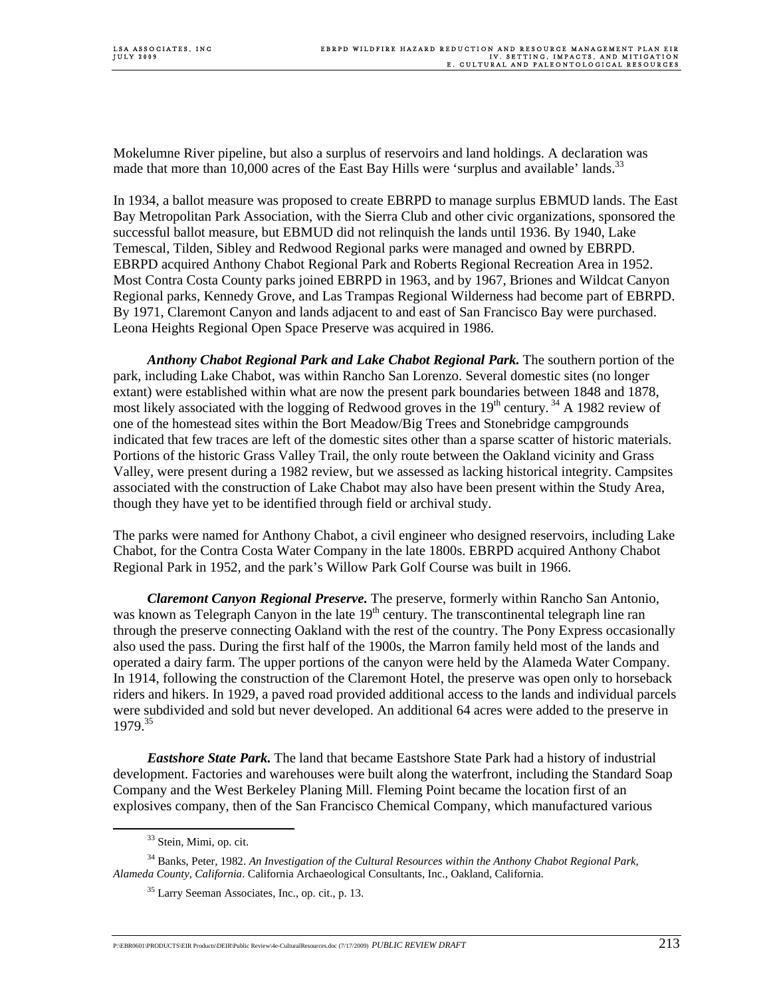Mokelumne River pipeline, but also a surplus of reservoirs and land holdings. A declaration was made that more than 10,000 acres of the East Bay Hills were 'surplus and available' lands.<sup>33</sup>

In 1934, a ballot measure was proposed to create EBRPD to manage surplus EBMUD lands. The East Bay Metropolitan Park Association, with the Sierra Club and other civic organizations, sponsored the successful ballot measure, but EBMUD did not relinquish the lands until 1936. By 1940, Lake Temescal, Tilden, Sibley and Redwood Regional parks were managed and owned by EBRPD. EBRPD acquired Anthony Chabot Regional Park and Roberts Regional Recreation Area in 1952. Most Contra Costa County parks joined EBRPD in 1963, and by 1967, Briones and Wildcat Canyon Regional parks, Kennedy Grove, and Las Trampas Regional Wilderness had become part of EBRPD. By 1971, Claremont Canyon and lands adjacent to and east of San Francisco Bay were purchased. Leona Heights Regional Open Space Preserve was acquired in 1986.

*Anthony Chabot Regional Park and Lake Chabot Regional Park.* The southern portion of the park, including Lake Chabot, was within Rancho San Lorenzo. Several domestic sites (no longer extant) were established within what are now the present park boundaries between 1848 and 1878, most likely associated with the logging of Redwood groves in the  $19<sup>th</sup>$  century.<sup>34</sup> A 1982 review of one of the homestead sites within the Bort Meadow/Big Trees and Stonebridge campgrounds indicated that few traces are left of the domestic sites other than a sparse scatter of historic materials. Portions of the historic Grass Valley Trail, the only route between the Oakland vicinity and Grass Valley, were present during a 1982 review, but we assessed as lacking historical integrity. Campsites associated with the construction of Lake Chabot may also have been present within the Study Area, though they have yet to be identified through field or archival study.

The parks were named for Anthony Chabot, a civil engineer who designed reservoirs, including Lake Chabot, for the Contra Costa Water Company in the late 1800s. EBRPD acquired Anthony Chabot Regional Park in 1952, and the park's Willow Park Golf Course was built in 1966.

*Claremont Canyon Regional Preserve.* The preserve, formerly within Rancho San Antonio, was known as Telegraph Canyon in the late  $19<sup>th</sup>$  century. The transcontinental telegraph line ran through the preserve connecting Oakland with the rest of the country. The Pony Express occasionally also used the pass. During the first half of the 1900s, the Marron family held most of the lands and operated a dairy farm. The upper portions of the canyon were held by the Alameda Water Company. In 1914, following the construction of the Claremont Hotel, the preserve was open only to horseback riders and hikers. In 1929, a paved road provided additional access to the lands and individual parcels were subdivided and sold but never developed. An additional 64 acres were added to the preserve in 1979.35

*Eastshore State Park.* The land that became Eastshore State Park had a history of industrial development. Factories and warehouses were built along the waterfront, including the Standard Soap Company and the West Berkeley Planing Mill. Fleming Point became the location first of an explosives company, then of the San Francisco Chemical Company, which manufactured various

<sup>&</sup>lt;sup>33</sup> Stein, Mimi, op. cit.

<sup>34</sup> Banks, Peter, 1982. *An Investigation of the Cultural Resources within the Anthony Chabot Regional Park, Alameda County, California*. California Archaeological Consultants, Inc., Oakland, California.

<sup>35</sup> Larry Seeman Associates, Inc., op. cit., p. 13.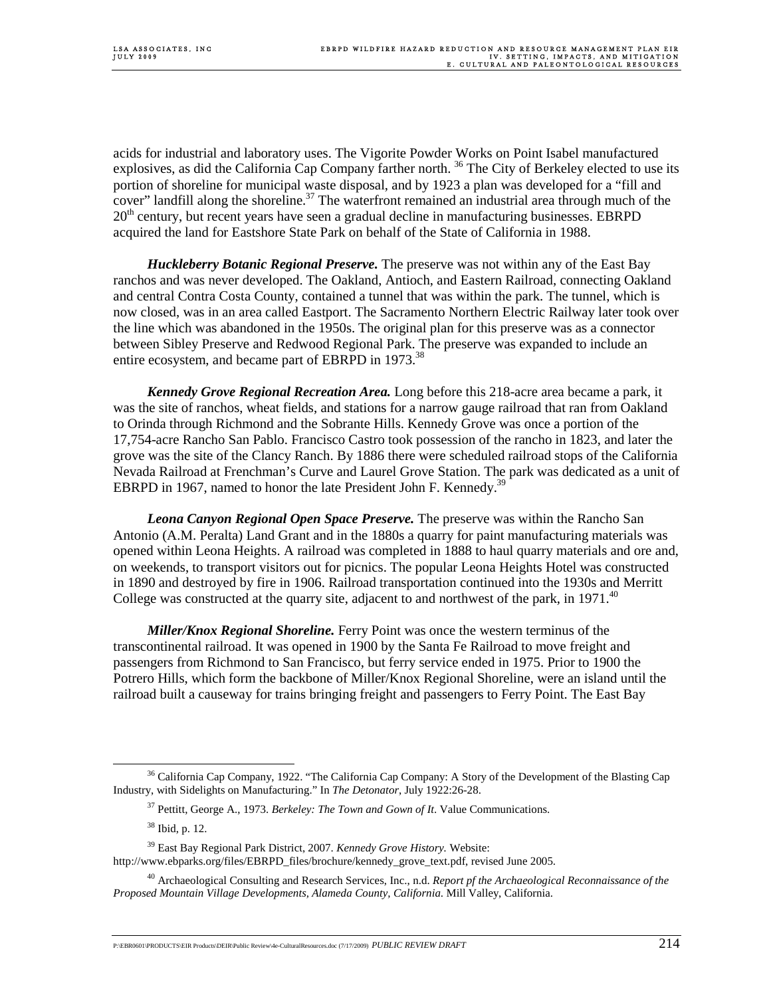acids for industrial and laboratory uses. The Vigorite Powder Works on Point Isabel manufactured explosives, as did the California Cap Company farther north.<sup>36</sup> The City of Berkeley elected to use its portion of shoreline for municipal waste disposal, and by 1923 a plan was developed for a "fill and cover" landfill along the shoreline.<sup>37</sup> The waterfront remained an industrial area through much of the  $20<sup>th</sup>$  century, but recent years have seen a gradual decline in manufacturing businesses. EBRPD acquired the land for Eastshore State Park on behalf of the State of California in 1988.

 *Huckleberry Botanic Regional Preserve.* The preserve was not within any of the East Bay ranchos and was never developed. The Oakland, Antioch, and Eastern Railroad, connecting Oakland and central Contra Costa County, contained a tunnel that was within the park. The tunnel, which is now closed, was in an area called Eastport. The Sacramento Northern Electric Railway later took over the line which was abandoned in the 1950s. The original plan for this preserve was as a connector between Sibley Preserve and Redwood Regional Park. The preserve was expanded to include an entire ecosystem, and became part of EBRPD in 1973.<sup>38</sup>

 *Kennedy Grove Regional Recreation Area.* Long before this 218-acre area became a park, it was the site of ranchos, wheat fields, and stations for a narrow gauge railroad that ran from Oakland to Orinda through Richmond and the Sobrante Hills. Kennedy Grove was once a portion of the 17,754-acre Rancho San Pablo. Francisco Castro took possession of the rancho in 1823, and later the grove was the site of the Clancy Ranch. By 1886 there were scheduled railroad stops of the California Nevada Railroad at Frenchman's Curve and Laurel Grove Station. The park was dedicated as a unit of EBRPD in 1967, named to honor the late President John F. Kennedy.<sup>39</sup>

 *Leona Canyon Regional Open Space Preserve.* The preserve was within the Rancho San Antonio (A.M. Peralta) Land Grant and in the 1880s a quarry for paint manufacturing materials was opened within Leona Heights. A railroad was completed in 1888 to haul quarry materials and ore and, on weekends, to transport visitors out for picnics. The popular Leona Heights Hotel was constructed in 1890 and destroyed by fire in 1906. Railroad transportation continued into the 1930s and Merritt College was constructed at the quarry site, adjacent to and northwest of the park, in 1971.<sup>40</sup>

 *Miller/Knox Regional Shoreline.* Ferry Point was once the western terminus of the transcontinental railroad. It was opened in 1900 by the Santa Fe Railroad to move freight and passengers from Richmond to San Francisco, but ferry service ended in 1975. Prior to 1900 the Potrero Hills, which form the backbone of Miller/Knox Regional Shoreline, were an island until the railroad built a causeway for trains bringing freight and passengers to Ferry Point. The East Bay

 <sup>36</sup> California Cap Company, 1922. "The California Cap Company: A Story of the Development of the Blasting Cap Industry, with Sidelights on Manufacturing." In *The Detonator*, July 1922:26-28.

<sup>37</sup> Pettitt, George A., 1973. *Berkeley: The Town and Gown of It*. Value Communications.

<sup>38</sup> Ibid, p. 12.

<sup>39</sup> East Bay Regional Park District, 2007. *Kennedy Grove History.* Website: http://www.ebparks.org/files/EBRPD\_files/brochure/kennedy\_grove\_text.pdf, revised June 2005.

<sup>40</sup> Archaeological Consulting and Research Services, Inc., n.d. *Report pf the Archaeological Reconnaissance of the Proposed Mountain Village Developments, Alameda County, California*. Mill Valley, California.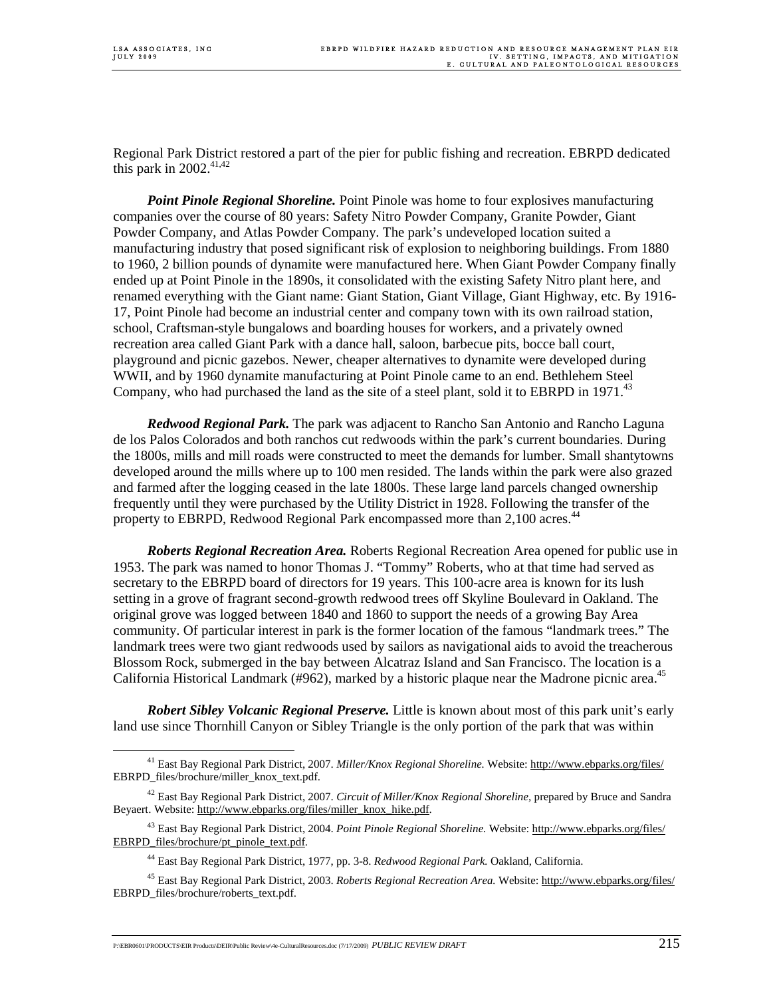Regional Park District restored a part of the pier for public fishing and recreation. EBRPD dedicated this park in  $2002$ .<sup>41,42</sup>

 *Point Pinole Regional Shoreline.* Point Pinole was home to four explosives manufacturing companies over the course of 80 years: Safety Nitro Powder Company, Granite Powder, Giant Powder Company, and Atlas Powder Company. The park's undeveloped location suited a manufacturing industry that posed significant risk of explosion to neighboring buildings. From 1880 to 1960, 2 billion pounds of dynamite were manufactured here. When Giant Powder Company finally ended up at Point Pinole in the 1890s, it consolidated with the existing Safety Nitro plant here, and renamed everything with the Giant name: Giant Station, Giant Village, Giant Highway, etc. By 1916- 17, Point Pinole had become an industrial center and company town with its own railroad station, school, Craftsman-style bungalows and boarding houses for workers, and a privately owned recreation area called Giant Park with a dance hall, saloon, barbecue pits, bocce ball court, playground and picnic gazebos. Newer, cheaper alternatives to dynamite were developed during WWII, and by 1960 dynamite manufacturing at Point Pinole came to an end. Bethlehem Steel Company, who had purchased the land as the site of a steel plant, sold it to EBRPD in 1971.<sup>43</sup>

 *Redwood Regional Park.* The park was adjacent to Rancho San Antonio and Rancho Laguna de los Palos Colorados and both ranchos cut redwoods within the park's current boundaries. During the 1800s, mills and mill roads were constructed to meet the demands for lumber. Small shantytowns developed around the mills where up to 100 men resided. The lands within the park were also grazed and farmed after the logging ceased in the late 1800s. These large land parcels changed ownership frequently until they were purchased by the Utility District in 1928. Following the transfer of the property to EBRPD, Redwood Regional Park encompassed more than 2,100 acres.<sup>44</sup>

 *Roberts Regional Recreation Area.* Roberts Regional Recreation Area opened for public use in 1953. The park was named to honor Thomas J. "Tommy" Roberts, who at that time had served as secretary to the EBRPD board of directors for 19 years. This 100-acre area is known for its lush setting in a grove of fragrant second-growth redwood trees off Skyline Boulevard in Oakland. The original grove was logged between 1840 and 1860 to support the needs of a growing Bay Area community. Of particular interest in park is the former location of the famous "landmark trees." The landmark trees were two giant redwoods used by sailors as navigational aids to avoid the treacherous Blossom Rock, submerged in the bay between Alcatraz Island and San Francisco. The location is a California Historical Landmark (#962), marked by a historic plaque near the Madrone picnic area.<sup>45</sup>

 *Robert Sibley Volcanic Regional Preserve.* Little is known about most of this park unit's early land use since Thornhill Canyon or Sibley Triangle is the only portion of the park that was within

 <sup>41</sup> East Bay Regional Park District, 2007. *Miller/Knox Regional Shoreline.* Website: http://www.ebparks.org/files/ EBRPD\_files/brochure/miller\_knox\_text.pdf.

<sup>42</sup> East Bay Regional Park District, 2007. *Circuit of Miller/Knox Regional Shoreline,* prepared by Bruce and Sandra Beyaert. Website: http://www.ebparks.org/files/miller\_knox\_hike.pdf.

<sup>43</sup> East Bay Regional Park District, 2004. *Point Pinole Regional Shoreline.* Website: http://www.ebparks.org/files/ EBRPD\_files/brochure/pt\_pinole\_text.pdf.

<sup>44</sup> East Bay Regional Park District, 1977, pp. 3-8. *Redwood Regional Park.* Oakland, California.

<sup>45</sup> East Bay Regional Park District, 2003. *Roberts Regional Recreation Area.* Website: http://www.ebparks.org/files/ EBRPD\_files/brochure/roberts\_text.pdf.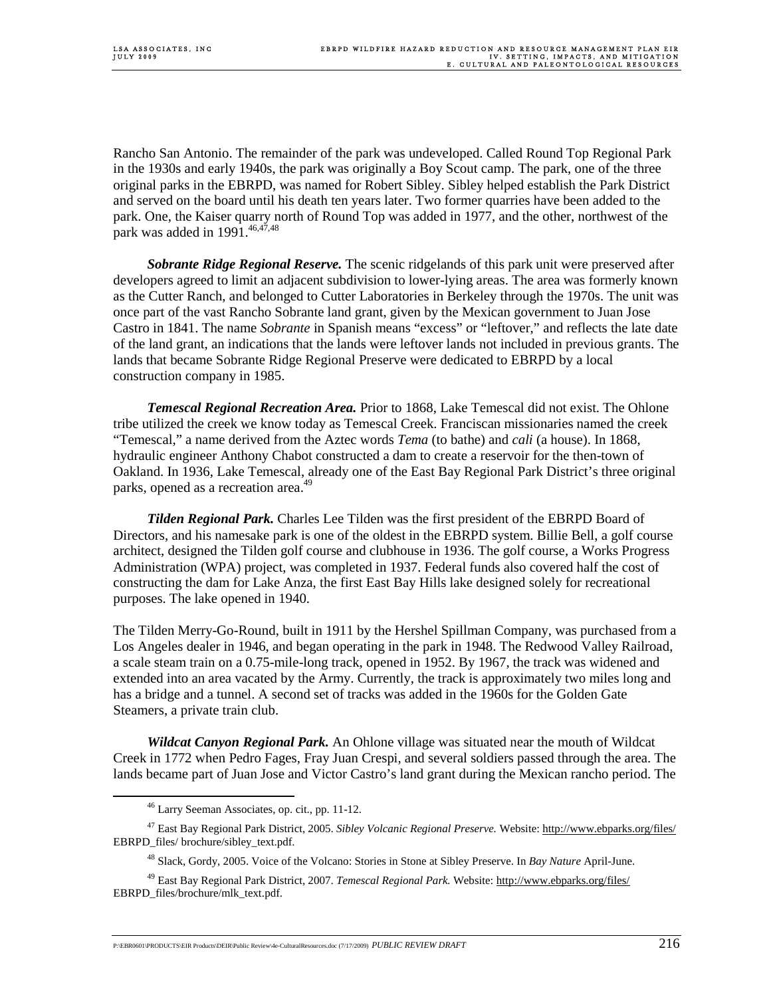Rancho San Antonio. The remainder of the park was undeveloped. Called Round Top Regional Park in the 1930s and early 1940s, the park was originally a Boy Scout camp. The park, one of the three original parks in the EBRPD, was named for Robert Sibley. Sibley helped establish the Park District and served on the board until his death ten years later. Two former quarries have been added to the park. One, the Kaiser quarry north of Round Top was added in 1977, and the other, northwest of the park was added in 1991. $46,47,48$ 

 *Sobrante Ridge Regional Reserve.* The scenic ridgelands of this park unit were preserved after developers agreed to limit an adjacent subdivision to lower-lying areas. The area was formerly known as the Cutter Ranch, and belonged to Cutter Laboratories in Berkeley through the 1970s. The unit was once part of the vast Rancho Sobrante land grant, given by the Mexican government to Juan Jose Castro in 1841. The name *Sobrante* in Spanish means "excess" or "leftover," and reflects the late date of the land grant, an indications that the lands were leftover lands not included in previous grants. The lands that became Sobrante Ridge Regional Preserve were dedicated to EBRPD by a local construction company in 1985.

 *Temescal Regional Recreation Area.* Prior to 1868, Lake Temescal did not exist. The Ohlone tribe utilized the creek we know today as Temescal Creek. Franciscan missionaries named the creek "Temescal," a name derived from the Aztec words *Tema* (to bathe) and *cali* (a house). In 1868, hydraulic engineer Anthony Chabot constructed a dam to create a reservoir for the then-town of Oakland. In 1936, Lake Temescal, already one of the East Bay Regional Park District's three original parks, opened as a recreation area.<sup>49</sup>

 *Tilden Regional Park.* Charles Lee Tilden was the first president of the EBRPD Board of Directors, and his namesake park is one of the oldest in the EBRPD system. Billie Bell, a golf course architect, designed the Tilden golf course and clubhouse in 1936. The golf course, a Works Progress Administration (WPA) project, was completed in 1937. Federal funds also covered half the cost of constructing the dam for Lake Anza, the first East Bay Hills lake designed solely for recreational purposes. The lake opened in 1940.

The Tilden Merry-Go-Round, built in 1911 by the Hershel Spillman Company, was purchased from a Los Angeles dealer in 1946, and began operating in the park in 1948. The Redwood Valley Railroad, a scale steam train on a 0.75-mile-long track, opened in 1952. By 1967, the track was widened and extended into an area vacated by the Army. Currently, the track is approximately two miles long and has a bridge and a tunnel. A second set of tracks was added in the 1960s for the Golden Gate Steamers, a private train club.

 *Wildcat Canyon Regional Park.* An Ohlone village was situated near the mouth of Wildcat Creek in 1772 when Pedro Fages, Fray Juan Crespi, and several soldiers passed through the area. The lands became part of Juan Jose and Victor Castro's land grant during the Mexican rancho period. The

 <sup>46</sup> Larry Seeman Associates, op. cit., pp. 11-12.

<sup>47</sup> East Bay Regional Park District, 2005. *Sibley Volcanic Regional Preserve.* Website: http://www.ebparks.org/files/ EBRPD\_files/ brochure/sibley\_text.pdf.

<sup>48</sup> Slack, Gordy, 2005. Voice of the Volcano: Stories in Stone at Sibley Preserve. In *Bay Nature* April-June.

<sup>&</sup>lt;sup>49</sup> East Bay Regional Park District, 2007. *Temescal Regional Park.* Website: http://www.ebparks.org/files/ EBRPD\_files/brochure/mlk\_text.pdf.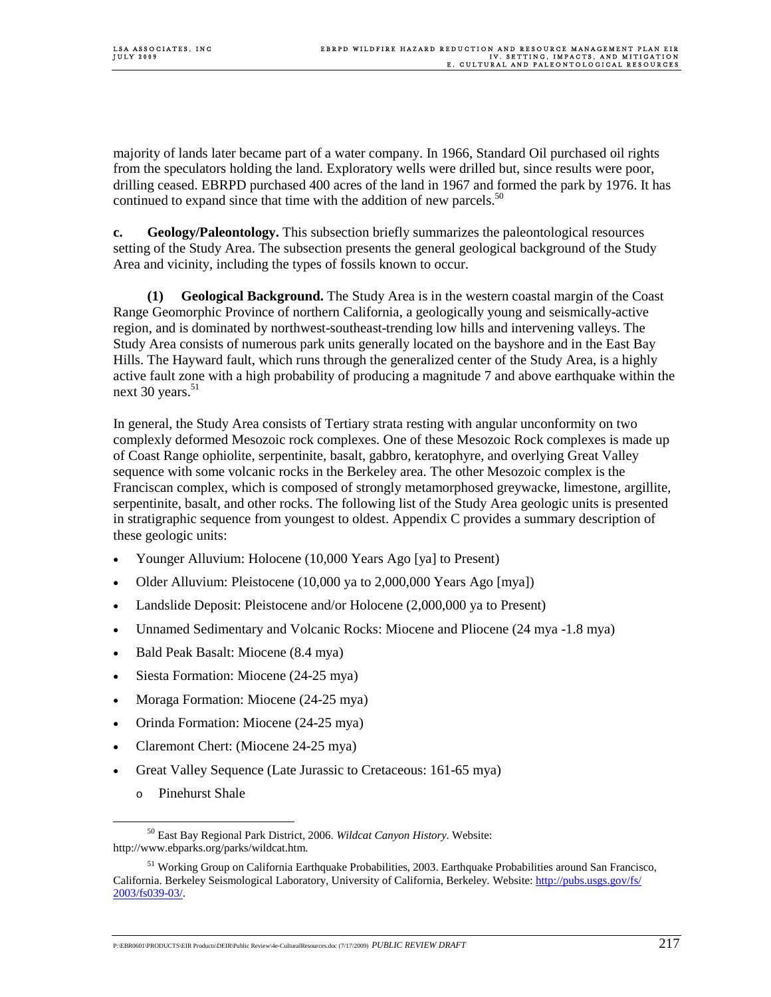majority of lands later became part of a water company. In 1966, Standard Oil purchased oil rights from the speculators holding the land. Exploratory wells were drilled but, since results were poor, drilling ceased. EBRPD purchased 400 acres of the land in 1967 and formed the park by 1976. It has continued to expand since that time with the addition of new parcels.<sup>50</sup>

**c. Geology/Paleontology.** This subsection briefly summarizes the paleontological resources setting of the Study Area. The subsection presents the general geological background of the Study Area and vicinity, including the types of fossils known to occur.

 **(1) Geological Background.** The Study Area is in the western coastal margin of the Coast Range Geomorphic Province of northern California, a geologically young and seismically-active region, and is dominated by northwest-southeast-trending low hills and intervening valleys. The Study Area consists of numerous park units generally located on the bayshore and in the East Bay Hills. The Hayward fault, which runs through the generalized center of the Study Area, is a highly active fault zone with a high probability of producing a magnitude 7 and above earthquake within the next 30 years. $51$ 

In general, the Study Area consists of Tertiary strata resting with angular unconformity on two complexly deformed Mesozoic rock complexes. One of these Mesozoic Rock complexes is made up of Coast Range ophiolite, serpentinite, basalt, gabbro, keratophyre, and overlying Great Valley sequence with some volcanic rocks in the Berkeley area. The other Mesozoic complex is the Franciscan complex, which is composed of strongly metamorphosed greywacke, limestone, argillite, serpentinite, basalt, and other rocks. The following list of the Study Area geologic units is presented in stratigraphic sequence from youngest to oldest. Appendix C provides a summary description of these geologic units:

- Younger Alluvium: Holocene (10,000 Years Ago [ya] to Present)
- Older Alluvium: Pleistocene (10,000 ya to 2,000,000 Years Ago [mya])
- Landslide Deposit: Pleistocene and/or Holocene (2,000,000 ya to Present)
- Unnamed Sedimentary and Volcanic Rocks: Miocene and Pliocene (24 mya -1.8 mya)
- Bald Peak Basalt: Miocene (8.4 mya)
- Siesta Formation: Miocene (24-25 mya)
- Moraga Formation: Miocene (24-25 mya)
- Orinda Formation: Miocene (24-25 mya)
- Claremont Chert: (Miocene 24-25 mya)
- Great Valley Sequence (Late Jurassic to Cretaceous: 161-65 mya)
	- o Pinehurst Shale

 <sup>50</sup> East Bay Regional Park District, 2006. *Wildcat Canyon History.* Website: http://www.ebparks.org/parks/wildcat.htm.

<sup>&</sup>lt;sup>51</sup> Working Group on California Earthquake Probabilities, 2003. Earthquake Probabilities around San Francisco, California. Berkeley Seismological Laboratory, University of California, Berkeley. Website: http://pubs.usgs.gov/fs/ 2003/fs039-03/.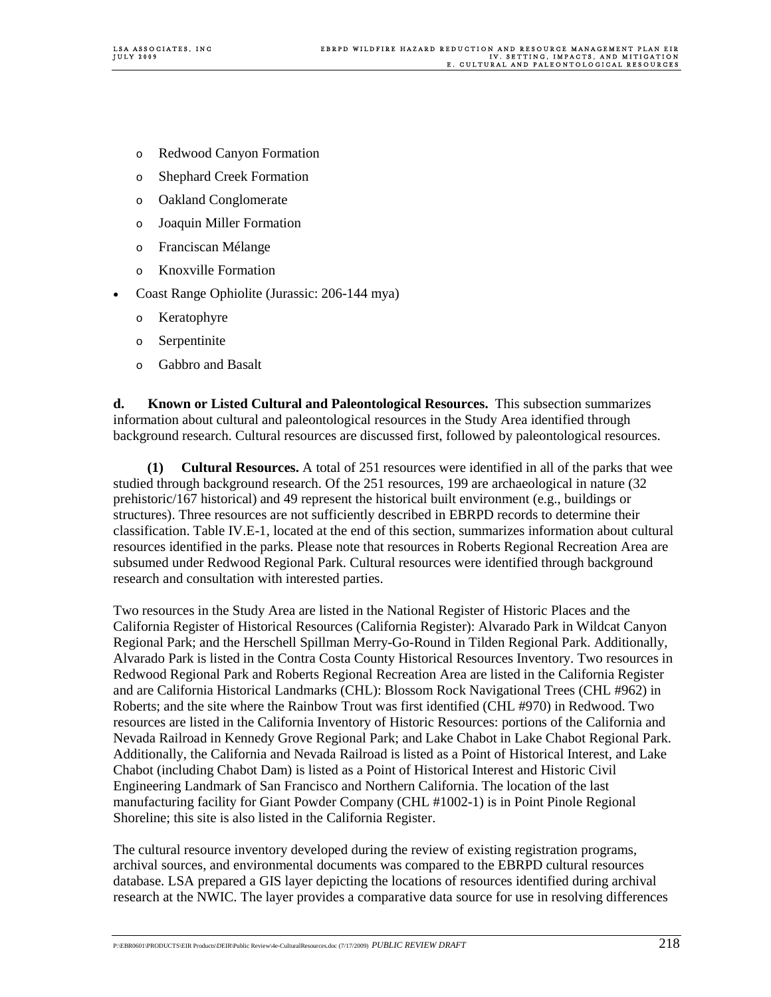- o Redwood Canyon Formation
- o Shephard Creek Formation
- o Oakland Conglomerate
- o Joaquin Miller Formation
- o Franciscan Mélange
- o Knoxville Formation
- Coast Range Ophiolite (Jurassic: 206-144 mya)
	- o Keratophyre
	- o Serpentinite
	- o Gabbro and Basalt

**d. Known or Listed Cultural and Paleontological Resources.** This subsection summarizes information about cultural and paleontological resources in the Study Area identified through background research. Cultural resources are discussed first, followed by paleontological resources.

 **(1) Cultural Resources.** A total of 251 resources were identified in all of the parks that wee studied through background research. Of the 251 resources, 199 are archaeological in nature (32 prehistoric/167 historical) and 49 represent the historical built environment (e.g., buildings or structures). Three resources are not sufficiently described in EBRPD records to determine their classification. Table IV.E-1, located at the end of this section, summarizes information about cultural resources identified in the parks. Please note that resources in Roberts Regional Recreation Area are subsumed under Redwood Regional Park. Cultural resources were identified through background research and consultation with interested parties.

Two resources in the Study Area are listed in the National Register of Historic Places and the California Register of Historical Resources (California Register): Alvarado Park in Wildcat Canyon Regional Park; and the Herschell Spillman Merry-Go-Round in Tilden Regional Park. Additionally, Alvarado Park is listed in the Contra Costa County Historical Resources Inventory. Two resources in Redwood Regional Park and Roberts Regional Recreation Area are listed in the California Register and are California Historical Landmarks (CHL): Blossom Rock Navigational Trees (CHL #962) in Roberts; and the site where the Rainbow Trout was first identified (CHL #970) in Redwood. Two resources are listed in the California Inventory of Historic Resources: portions of the California and Nevada Railroad in Kennedy Grove Regional Park; and Lake Chabot in Lake Chabot Regional Park. Additionally, the California and Nevada Railroad is listed as a Point of Historical Interest, and Lake Chabot (including Chabot Dam) is listed as a Point of Historical Interest and Historic Civil Engineering Landmark of San Francisco and Northern California. The location of the last manufacturing facility for Giant Powder Company (CHL #1002-1) is in Point Pinole Regional Shoreline; this site is also listed in the California Register.

The cultural resource inventory developed during the review of existing registration programs, archival sources, and environmental documents was compared to the EBRPD cultural resources database. LSA prepared a GIS layer depicting the locations of resources identified during archival research at the NWIC. The layer provides a comparative data source for use in resolving differences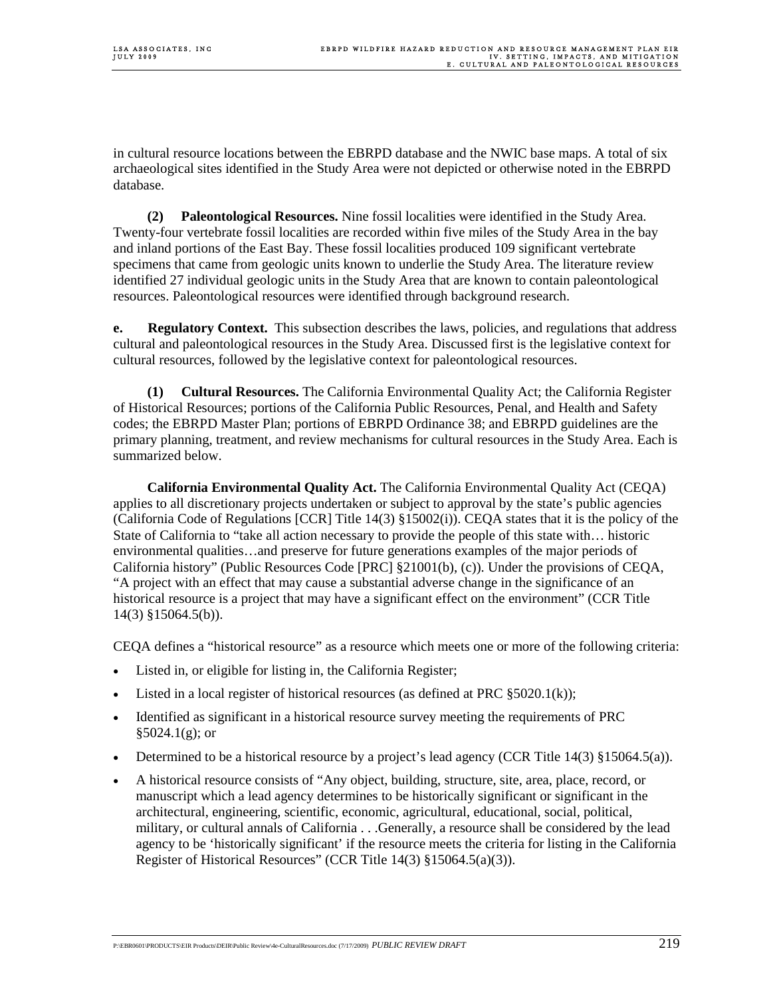in cultural resource locations between the EBRPD database and the NWIC base maps. A total of six archaeological sites identified in the Study Area were not depicted or otherwise noted in the EBRPD database.

 **(2) Paleontological Resources.** Nine fossil localities were identified in the Study Area. Twenty-four vertebrate fossil localities are recorded within five miles of the Study Area in the bay and inland portions of the East Bay. These fossil localities produced 109 significant vertebrate specimens that came from geologic units known to underlie the Study Area. The literature review identified 27 individual geologic units in the Study Area that are known to contain paleontological resources. Paleontological resources were identified through background research.

**e. Regulatory Context.** This subsection describes the laws, policies, and regulations that address cultural and paleontological resources in the Study Area. Discussed first is the legislative context for cultural resources, followed by the legislative context for paleontological resources.

 **(1) Cultural Resources.** The California Environmental Quality Act; the California Register of Historical Resources; portions of the California Public Resources, Penal, and Health and Safety codes; the EBRPD Master Plan; portions of EBRPD Ordinance 38; and EBRPD guidelines are the primary planning, treatment, and review mechanisms for cultural resources in the Study Area. Each is summarized below.

 **California Environmental Quality Act.** The California Environmental Quality Act (CEQA) applies to all discretionary projects undertaken or subject to approval by the state's public agencies (California Code of Regulations [CCR] Title 14(3) §15002(i)). CEQA states that it is the policy of the State of California to "take all action necessary to provide the people of this state with… historic environmental qualities…and preserve for future generations examples of the major periods of California history" (Public Resources Code [PRC] §21001(b), (c)). Under the provisions of CEQA, "A project with an effect that may cause a substantial adverse change in the significance of an historical resource is a project that may have a significant effect on the environment" (CCR Title 14(3) §15064.5(b)).

CEQA defines a "historical resource" as a resource which meets one or more of the following criteria:

- Listed in, or eligible for listing in, the California Register;
- Listed in a local register of historical resources (as defined at PRC  $\S5020.1(k)$ );
- Identified as significant in a historical resource survey meeting the requirements of PRC  $§5024.1(g);$  or
- Determined to be a historical resource by a project's lead agency (CCR Title  $14(3)$  §15064.5(a)).
- A historical resource consists of "Any object, building, structure, site, area, place, record, or manuscript which a lead agency determines to be historically significant or significant in the architectural, engineering, scientific, economic, agricultural, educational, social, political, military, or cultural annals of California . . .Generally, a resource shall be considered by the lead agency to be 'historically significant' if the resource meets the criteria for listing in the California Register of Historical Resources" (CCR Title 14(3) §15064.5(a)(3)).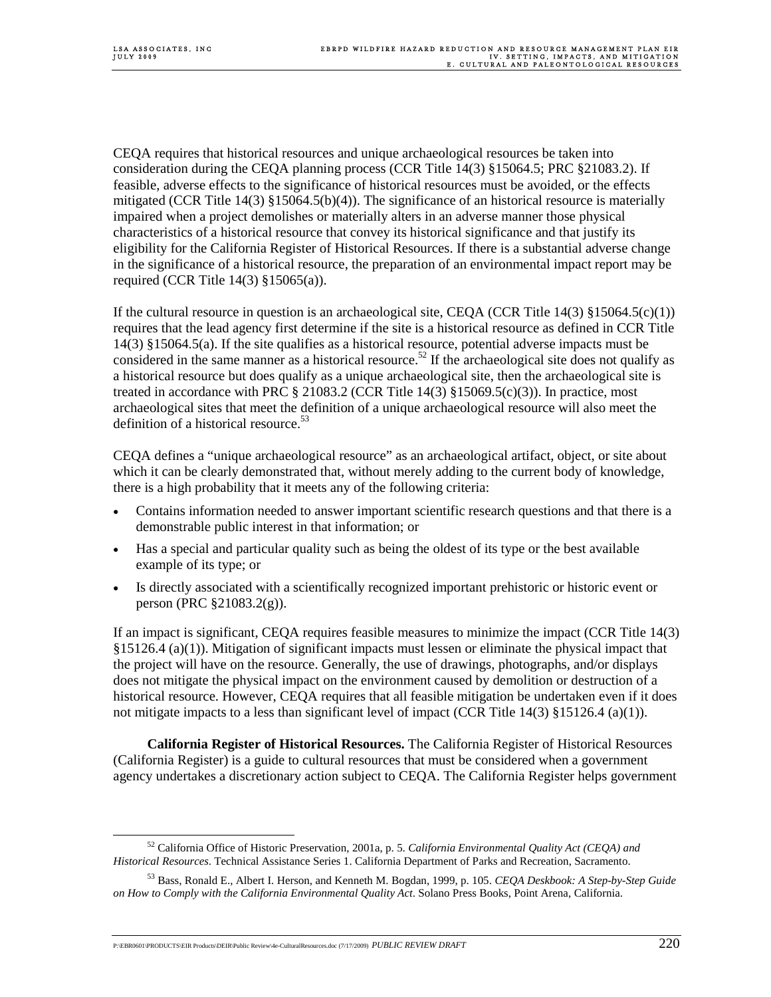CEQA requires that historical resources and unique archaeological resources be taken into consideration during the CEQA planning process (CCR Title 14(3) §15064.5; PRC §21083.2). If feasible, adverse effects to the significance of historical resources must be avoided, or the effects mitigated (CCR Title 14(3) §15064.5(b)(4)). The significance of an historical resource is materially impaired when a project demolishes or materially alters in an adverse manner those physical characteristics of a historical resource that convey its historical significance and that justify its eligibility for the California Register of Historical Resources. If there is a substantial adverse change in the significance of a historical resource, the preparation of an environmental impact report may be required (CCR Title 14(3) §15065(a)).

If the cultural resource in question is an archaeological site, CEQA (CCR Title 14(3)  $\S 15064.5(c)(1)$ ) requires that the lead agency first determine if the site is a historical resource as defined in CCR Title 14(3) §15064.5(a). If the site qualifies as a historical resource, potential adverse impacts must be considered in the same manner as a historical resource.<sup>52</sup> If the archaeological site does not qualify as a historical resource but does qualify as a unique archaeological site, then the archaeological site is treated in accordance with PRC  $\S 21083.2$  (CCR Title 14(3)  $\S 15069.5(c)(3)$ ). In practice, most archaeological sites that meet the definition of a unique archaeological resource will also meet the definition of a historical resource.<sup>53</sup>

CEQA defines a "unique archaeological resource" as an archaeological artifact, object, or site about which it can be clearly demonstrated that, without merely adding to the current body of knowledge, there is a high probability that it meets any of the following criteria:

- Contains information needed to answer important scientific research questions and that there is a demonstrable public interest in that information; or
- Has a special and particular quality such as being the oldest of its type or the best available example of its type; or
- Is directly associated with a scientifically recognized important prehistoric or historic event or person (PRC §21083.2(g)).

If an impact is significant, CEQA requires feasible measures to minimize the impact (CCR Title 14(3) §15126.4 (a)(1)). Mitigation of significant impacts must lessen or eliminate the physical impact that the project will have on the resource. Generally, the use of drawings, photographs, and/or displays does not mitigate the physical impact on the environment caused by demolition or destruction of a historical resource. However, CEQA requires that all feasible mitigation be undertaken even if it does not mitigate impacts to a less than significant level of impact (CCR Title 14(3) §15126.4 (a)(1)).

 **California Register of Historical Resources.** The California Register of Historical Resources (California Register) is a guide to cultural resources that must be considered when a government agency undertakes a discretionary action subject to CEQA. The California Register helps government

 <sup>52</sup> California Office of Historic Preservation, 2001a, p. 5. *California Environmental Quality Act (CEQA) and Historical Resources*. Technical Assistance Series 1. California Department of Parks and Recreation, Sacramento.

<sup>53</sup> Bass, Ronald E., Albert I. Herson, and Kenneth M. Bogdan, 1999, p. 105. *CEQA Deskbook: A Step-by-Step Guide on How to Comply with the California Environmental Quality Act*. Solano Press Books, Point Arena, California.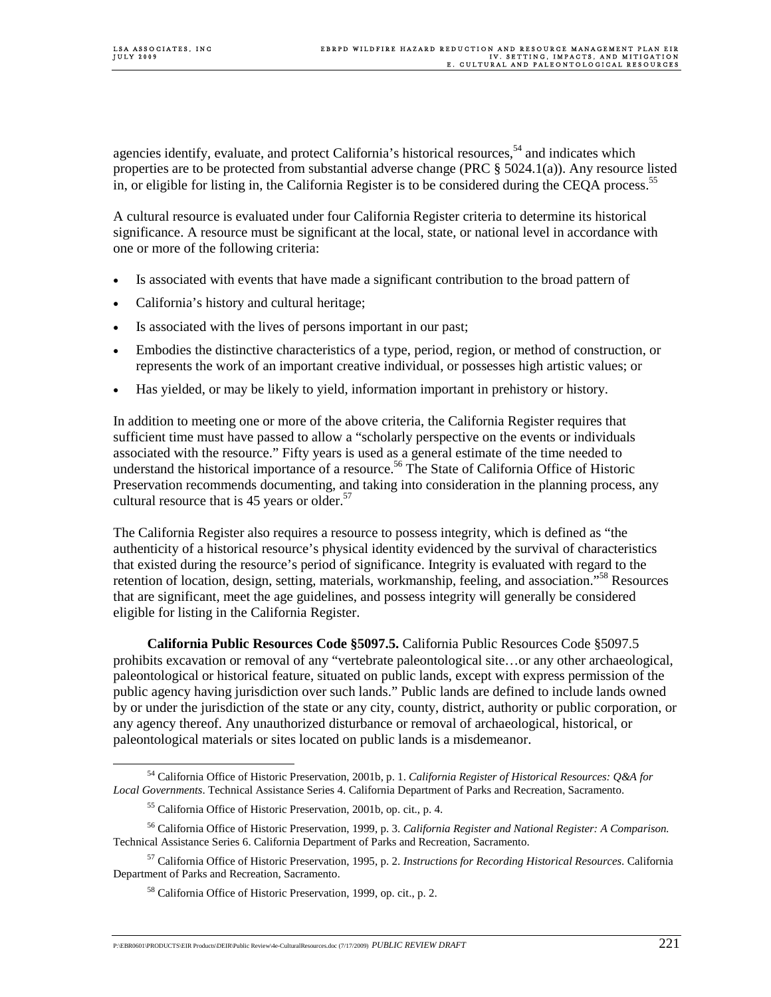agencies identify, evaluate, and protect California's historical resources,<sup>54</sup> and indicates which properties are to be protected from substantial adverse change (PRC § 5024.1(a)). Any resource listed in, or eligible for listing in, the California Register is to be considered during the CEQA process.<sup>55</sup>

A cultural resource is evaluated under four California Register criteria to determine its historical significance. A resource must be significant at the local, state, or national level in accordance with one or more of the following criteria:

- Is associated with events that have made a significant contribution to the broad pattern of
- California's history and cultural heritage;
- Is associated with the lives of persons important in our past;
- Embodies the distinctive characteristics of a type, period, region, or method of construction, or represents the work of an important creative individual, or possesses high artistic values; or
- Has yielded, or may be likely to yield, information important in prehistory or history.

In addition to meeting one or more of the above criteria, the California Register requires that sufficient time must have passed to allow a "scholarly perspective on the events or individuals associated with the resource." Fifty years is used as a general estimate of the time needed to understand the historical importance of a resource.<sup>56</sup> The State of California Office of Historic Preservation recommends documenting, and taking into consideration in the planning process, any cultural resource that is 45 years or older. $57$ 

The California Register also requires a resource to possess integrity, which is defined as "the authenticity of a historical resource's physical identity evidenced by the survival of characteristics that existed during the resource's period of significance. Integrity is evaluated with regard to the retention of location, design, setting, materials, workmanship, feeling, and association."58 Resources that are significant, meet the age guidelines, and possess integrity will generally be considered eligible for listing in the California Register.

 **California Public Resources Code §5097.5.** California Public Resources Code §5097.5 prohibits excavation or removal of any "vertebrate paleontological site…or any other archaeological, paleontological or historical feature, situated on public lands, except with express permission of the public agency having jurisdiction over such lands." Public lands are defined to include lands owned by or under the jurisdiction of the state or any city, county, district, authority or public corporation, or any agency thereof. Any unauthorized disturbance or removal of archaeological, historical, or paleontological materials or sites located on public lands is a misdemeanor.

 <sup>54</sup> California Office of Historic Preservation, 2001b, p. 1. *California Register of Historical Resources: Q&A for Local Governments*. Technical Assistance Series 4. California Department of Parks and Recreation, Sacramento.

<sup>55</sup> California Office of Historic Preservation, 2001b, op. cit., p. 4.

<sup>56</sup> California Office of Historic Preservation, 1999, p. 3. *California Register and National Register: A Comparison.* Technical Assistance Series 6. California Department of Parks and Recreation, Sacramento.

<sup>57</sup> California Office of Historic Preservation, 1995, p. 2. *Instructions for Recording Historical Resources*. California Department of Parks and Recreation, Sacramento.

<sup>58</sup> California Office of Historic Preservation, 1999, op. cit., p. 2.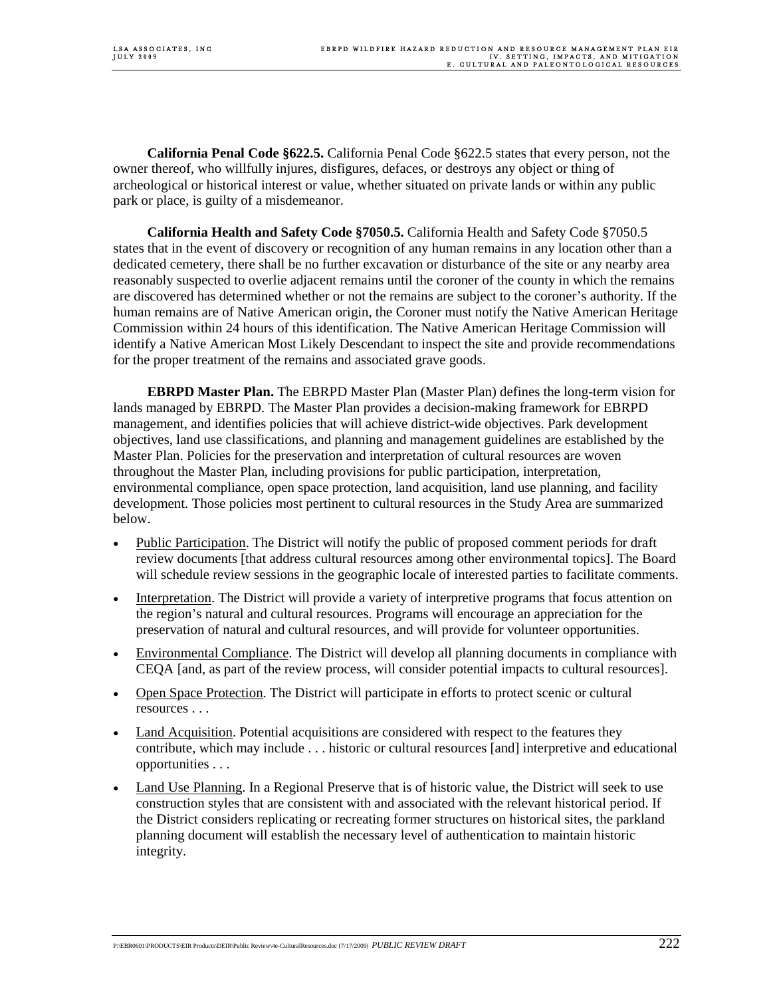**California Penal Code §622.5.** California Penal Code §622.5 states that every person, not the owner thereof, who willfully injures, disfigures, defaces, or destroys any object or thing of archeological or historical interest or value, whether situated on private lands or within any public park or place, is guilty of a misdemeanor.

 **California Health and Safety Code §7050.5.** California Health and Safety Code §7050.5 states that in the event of discovery or recognition of any human remains in any location other than a dedicated cemetery, there shall be no further excavation or disturbance of the site or any nearby area reasonably suspected to overlie adjacent remains until the coroner of the county in which the remains are discovered has determined whether or not the remains are subject to the coroner's authority. If the human remains are of Native American origin, the Coroner must notify the Native American Heritage Commission within 24 hours of this identification. The Native American Heritage Commission will identify a Native American Most Likely Descendant to inspect the site and provide recommendations for the proper treatment of the remains and associated grave goods.

 **EBRPD Master Plan.** The EBRPD Master Plan (Master Plan) defines the long-term vision for lands managed by EBRPD. The Master Plan provides a decision-making framework for EBRPD management, and identifies policies that will achieve district-wide objectives. Park development objectives, land use classifications, and planning and management guidelines are established by the Master Plan. Policies for the preservation and interpretation of cultural resources are woven throughout the Master Plan, including provisions for public participation, interpretation, environmental compliance, open space protection, land acquisition, land use planning, and facility development. Those policies most pertinent to cultural resources in the Study Area are summarized below.

- Public Participation. The District will notify the public of proposed comment periods for draft review documents [that address cultural resource*s* among other environmental topics]. The Board will schedule review sessions in the geographic locale of interested parties to facilitate comments.
- Interpretation. The District will provide a variety of interpretive programs that focus attention on the region's natural and cultural resources. Programs will encourage an appreciation for the preservation of natural and cultural resources, and will provide for volunteer opportunities.
- Environmental Compliance. The District will develop all planning documents in compliance with CEQA [and, as part of the review process, will consider potential impacts to cultural resources].
- Open Space Protection. The District will participate in efforts to protect scenic or cultural resources . . .
- Land Acquisition. Potential acquisitions are considered with respect to the features they contribute, which may include . . . historic or cultural resources [and] interpretive and educational opportunities . . .
- Land Use Planning. In a Regional Preserve that is of historic value, the District will seek to use construction styles that are consistent with and associated with the relevant historical period. If the District considers replicating or recreating former structures on historical sites, the parkland planning document will establish the necessary level of authentication to maintain historic integrity.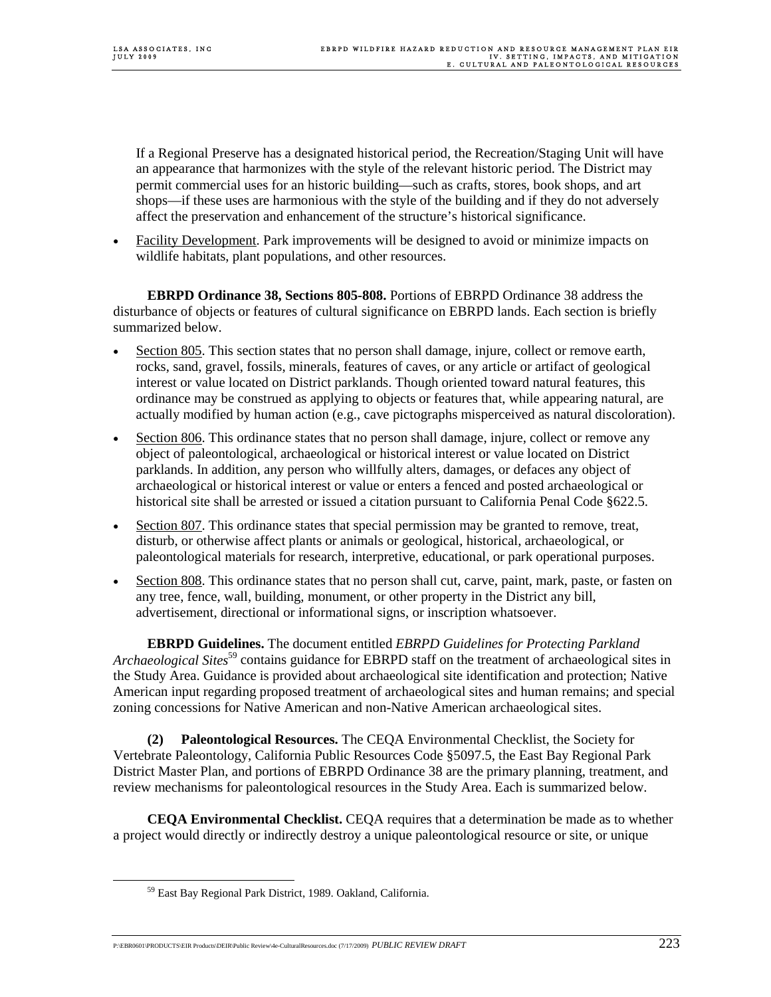If a Regional Preserve has a designated historical period, the Recreation/Staging Unit will have an appearance that harmonizes with the style of the relevant historic period. The District may permit commercial uses for an historic building—such as crafts, stores, book shops, and art shops—if these uses are harmonious with the style of the building and if they do not adversely affect the preservation and enhancement of the structure's historical significance.

• Facility Development. Park improvements will be designed to avoid or minimize impacts on wildlife habitats, plant populations, and other resources.

 **EBRPD Ordinance 38, Sections 805-808.** Portions of EBRPD Ordinance 38 address the disturbance of objects or features of cultural significance on EBRPD lands. Each section is briefly summarized below.

- Section 805. This section states that no person shall damage, injure, collect or remove earth, rocks, sand, gravel, fossils, minerals, features of caves, or any article or artifact of geological interest or value located on District parklands. Though oriented toward natural features, this ordinance may be construed as applying to objects or features that, while appearing natural, are actually modified by human action (e.g., cave pictographs misperceived as natural discoloration).
- Section 806. This ordinance states that no person shall damage, injure, collect or remove any object of paleontological, archaeological or historical interest or value located on District parklands. In addition, any person who willfully alters, damages, or defaces any object of archaeological or historical interest or value or enters a fenced and posted archaeological or historical site shall be arrested or issued a citation pursuant to California Penal Code §622.5.
- Section 807. This ordinance states that special permission may be granted to remove, treat, disturb, or otherwise affect plants or animals or geological, historical, archaeological, or paleontological materials for research, interpretive, educational, or park operational purposes.
- Section 808. This ordinance states that no person shall cut, carve, paint, mark, paste, or fasten on any tree, fence, wall, building, monument, or other property in the District any bill, advertisement, directional or informational signs, or inscription whatsoever.

 **EBRPD Guidelines.** The document entitled *EBRPD Guidelines for Protecting Parkland Archaeological Sites*<sup>59</sup> contains guidance for EBRPD staff on the treatment of archaeological sites in the Study Area. Guidance is provided about archaeological site identification and protection; Native American input regarding proposed treatment of archaeological sites and human remains; and special zoning concessions for Native American and non-Native American archaeological sites.

 **(2) Paleontological Resources.** The CEQA Environmental Checklist, the Society for Vertebrate Paleontology, California Public Resources Code §5097.5, the East Bay Regional Park District Master Plan, and portions of EBRPD Ordinance 38 are the primary planning, treatment, and review mechanisms for paleontological resources in the Study Area. Each is summarized below.

 **CEQA Environmental Checklist.** CEQA requires that a determination be made as to whether a project would directly or indirectly destroy a unique paleontological resource or site, or unique

P:\EBR0601\PRODUCTS\EIR Products\DEIR\Public Review\4e-CulturalResources.doc (7/17/2009) *PUBLIC REVIEW DRAFT* 223

 <sup>59</sup> East Bay Regional Park District, 1989. Oakland, California.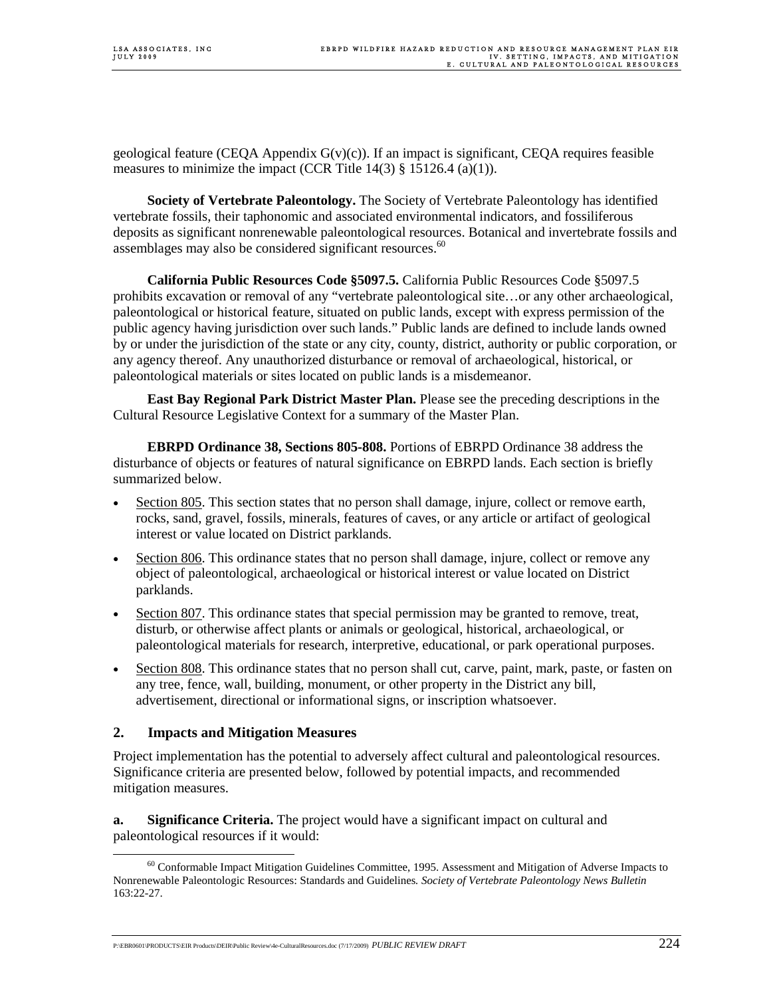geological feature (CEQA Appendix  $G(y)(c)$ ). If an impact is significant, CEQA requires feasible measures to minimize the impact (CCR Title  $14(3)$  § 15126.4 (a)(1)).

 **Society of Vertebrate Paleontology.** The Society of Vertebrate Paleontology has identified vertebrate fossils, their taphonomic and associated environmental indicators, and fossiliferous deposits as significant nonrenewable paleontological resources. Botanical and invertebrate fossils and assemblages may also be considered significant resources.<sup>60</sup>

 **California Public Resources Code §5097.5.** California Public Resources Code §5097.5 prohibits excavation or removal of any "vertebrate paleontological site…or any other archaeological, paleontological or historical feature, situated on public lands, except with express permission of the public agency having jurisdiction over such lands." Public lands are defined to include lands owned by or under the jurisdiction of the state or any city, county, district, authority or public corporation, or any agency thereof. Any unauthorized disturbance or removal of archaeological, historical, or paleontological materials or sites located on public lands is a misdemeanor.

 **East Bay Regional Park District Master Plan.** Please see the preceding descriptions in the Cultural Resource Legislative Context for a summary of the Master Plan.

 **EBRPD Ordinance 38, Sections 805-808.** Portions of EBRPD Ordinance 38 address the disturbance of objects or features of natural significance on EBRPD lands. Each section is briefly summarized below.

- Section 805. This section states that no person shall damage, injure, collect or remove earth, rocks, sand, gravel, fossils, minerals, features of caves, or any article or artifact of geological interest or value located on District parklands.
- Section 806. This ordinance states that no person shall damage, injure, collect or remove any object of paleontological, archaeological or historical interest or value located on District parklands.
- Section 807. This ordinance states that special permission may be granted to remove, treat, disturb, or otherwise affect plants or animals or geological, historical, archaeological, or paleontological materials for research, interpretive, educational, or park operational purposes.
- Section 808. This ordinance states that no person shall cut, carve, paint, mark, paste, or fasten on any tree, fence, wall, building, monument, or other property in the District any bill, advertisement, directional or informational signs, or inscription whatsoever.

## **2. Impacts and Mitigation Measures**

Project implementation has the potential to adversely affect cultural and paleontological resources. Significance criteria are presented below, followed by potential impacts, and recommended mitigation measures.

**a. Significance Criteria.** The project would have a significant impact on cultural and paleontological resources if it would:

 $^{60}$  Conformable Impact Mitigation Guidelines Committee, 1995. Assessment and Mitigation of Adverse Impacts to Nonrenewable Paleontologic Resources: Standards and Guidelines*. Society of Vertebrate Paleontology News Bulletin* 163:22-27.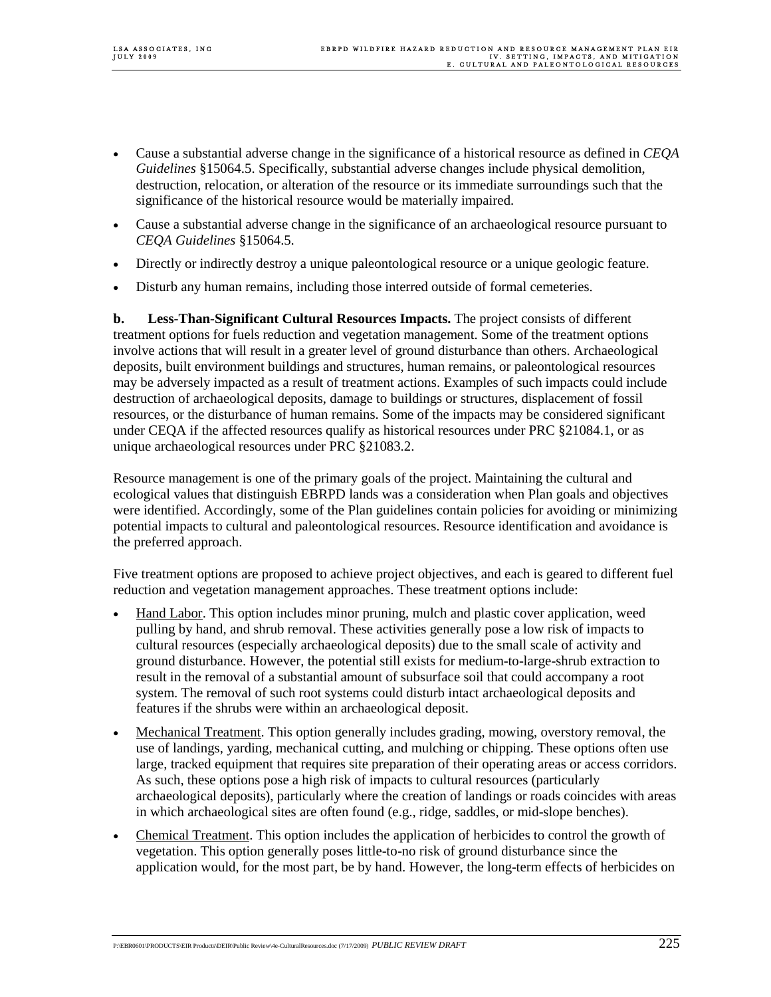- Cause a substantial adverse change in the significance of a historical resource as defined in *CEQA Guidelines* §15064.5. Specifically, substantial adverse changes include physical demolition, destruction, relocation, or alteration of the resource or its immediate surroundings such that the significance of the historical resource would be materially impaired.
- Cause a substantial adverse change in the significance of an archaeological resource pursuant to *CEQA Guidelines* §15064.5.
- Directly or indirectly destroy a unique paleontological resource or a unique geologic feature.
- Disturb any human remains, including those interred outside of formal cemeteries.

**b. Less-Than-Significant Cultural Resources Impacts.** The project consists of different treatment options for fuels reduction and vegetation management. Some of the treatment options involve actions that will result in a greater level of ground disturbance than others. Archaeological deposits, built environment buildings and structures, human remains, or paleontological resources may be adversely impacted as a result of treatment actions. Examples of such impacts could include destruction of archaeological deposits, damage to buildings or structures, displacement of fossil resources, or the disturbance of human remains. Some of the impacts may be considered significant under CEQA if the affected resources qualify as historical resources under PRC §21084.1, or as unique archaeological resources under PRC §21083.2.

Resource management is one of the primary goals of the project. Maintaining the cultural and ecological values that distinguish EBRPD lands was a consideration when Plan goals and objectives were identified. Accordingly, some of the Plan guidelines contain policies for avoiding or minimizing potential impacts to cultural and paleontological resources. Resource identification and avoidance is the preferred approach.

Five treatment options are proposed to achieve project objectives, and each is geared to different fuel reduction and vegetation management approaches. These treatment options include:

- Hand Labor. This option includes minor pruning, mulch and plastic cover application, weed pulling by hand, and shrub removal. These activities generally pose a low risk of impacts to cultural resources (especially archaeological deposits) due to the small scale of activity and ground disturbance. However, the potential still exists for medium-to-large-shrub extraction to result in the removal of a substantial amount of subsurface soil that could accompany a root system. The removal of such root systems could disturb intact archaeological deposits and features if the shrubs were within an archaeological deposit.
- Mechanical Treatment. This option generally includes grading, mowing, overstory removal, the use of landings, yarding, mechanical cutting, and mulching or chipping. These options often use large, tracked equipment that requires site preparation of their operating areas or access corridors. As such, these options pose a high risk of impacts to cultural resources (particularly archaeological deposits), particularly where the creation of landings or roads coincides with areas in which archaeological sites are often found (e.g., ridge, saddles, or mid-slope benches).
- Chemical Treatment. This option includes the application of herbicides to control the growth of vegetation. This option generally poses little-to-no risk of ground disturbance since the application would, for the most part, be by hand. However, the long-term effects of herbicides on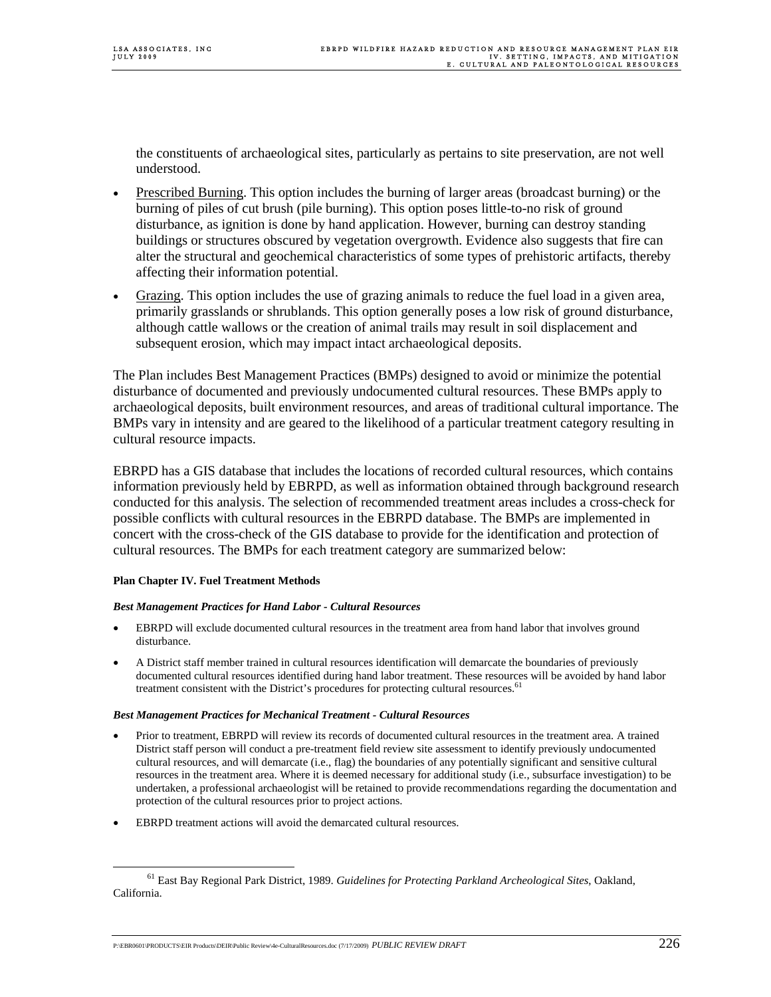the constituents of archaeological sites, particularly as pertains to site preservation, are not well understood.

- Prescribed Burning. This option includes the burning of larger areas (broadcast burning) or the burning of piles of cut brush (pile burning). This option poses little-to-no risk of ground disturbance, as ignition is done by hand application. However, burning can destroy standing buildings or structures obscured by vegetation overgrowth. Evidence also suggests that fire can alter the structural and geochemical characteristics of some types of prehistoric artifacts, thereby affecting their information potential.
- Grazing. This option includes the use of grazing animals to reduce the fuel load in a given area, primarily grasslands or shrublands. This option generally poses a low risk of ground disturbance, although cattle wallows or the creation of animal trails may result in soil displacement and subsequent erosion, which may impact intact archaeological deposits.

The Plan includes Best Management Practices (BMPs) designed to avoid or minimize the potential disturbance of documented and previously undocumented cultural resources. These BMPs apply to archaeological deposits, built environment resources, and areas of traditional cultural importance. The BMPs vary in intensity and are geared to the likelihood of a particular treatment category resulting in cultural resource impacts.

EBRPD has a GIS database that includes the locations of recorded cultural resources, which contains information previously held by EBRPD, as well as information obtained through background research conducted for this analysis. The selection of recommended treatment areas includes a cross-check for possible conflicts with cultural resources in the EBRPD database. The BMPs are implemented in concert with the cross-check of the GIS database to provide for the identification and protection of cultural resources. The BMPs for each treatment category are summarized below:

### **Plan Chapter IV. Fuel Treatment Methods**

### *Best Management Practices for Hand Labor - Cultural Resources*

- EBRPD will exclude documented cultural resources in the treatment area from hand labor that involves ground disturbance.
- A District staff member trained in cultural resources identification will demarcate the boundaries of previously documented cultural resources identified during hand labor treatment. These resources will be avoided by hand labor treatment consistent with the District's procedures for protecting cultural resources.<sup>61</sup>

### *Best Management Practices for Mechanical Treatment - Cultural Resources*

- Prior to treatment, EBRPD will review its records of documented cultural resources in the treatment area. A trained District staff person will conduct a pre-treatment field review site assessment to identify previously undocumented cultural resources, and will demarcate (i.e., flag) the boundaries of any potentially significant and sensitive cultural resources in the treatment area. Where it is deemed necessary for additional study (i.e., subsurface investigation) to be undertaken, a professional archaeologist will be retained to provide recommendations regarding the documentation and protection of the cultural resources prior to project actions.
- EBRPD treatment actions will avoid the demarcated cultural resources.

 <sup>61</sup> East Bay Regional Park District, 1989. *Guidelines for Protecting Parkland Archeological Sites*, Oakland, California.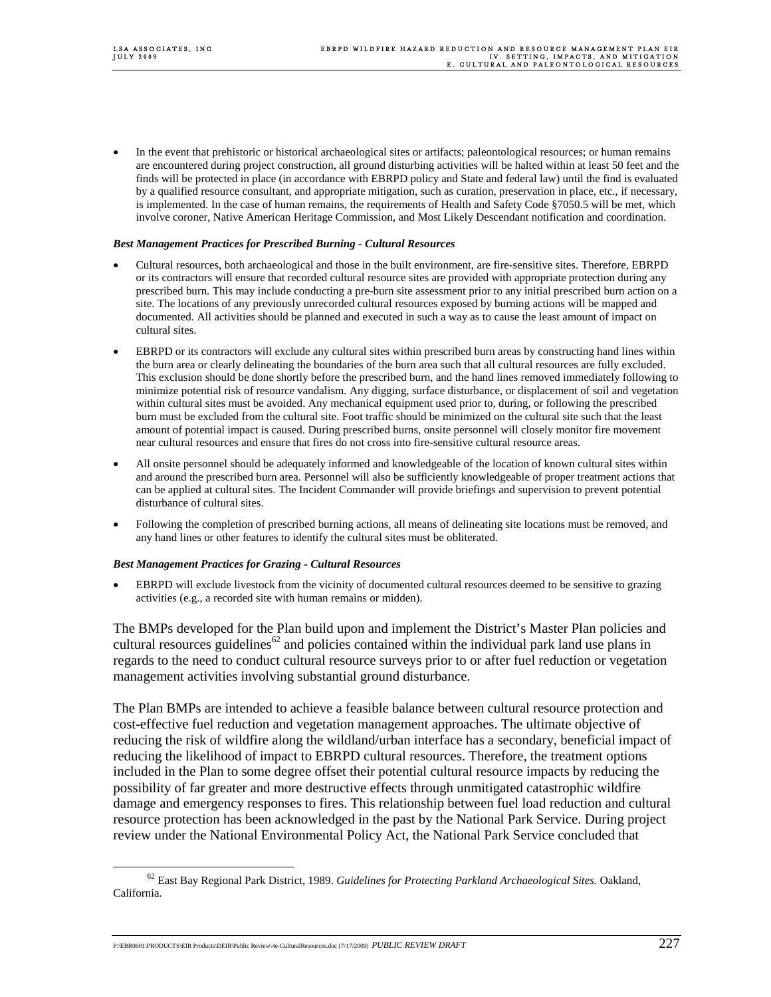• In the event that prehistoric or historical archaeological sites or artifacts; paleontological resources; or human remains are encountered during project construction, all ground disturbing activities will be halted within at least 50 feet and the finds will be protected in place (in accordance with EBRPD policy and State and federal law) until the find is evaluated by a qualified resource consultant, and appropriate mitigation, such as curation, preservation in place, etc., if necessary, is implemented. In the case of human remains, the requirements of Health and Safety Code §7050.5 will be met, which involve coroner, Native American Heritage Commission, and Most Likely Descendant notification and coordination.

#### *Best Management Practices for Prescribed Burning - Cultural Resources*

- Cultural resources, both archaeological and those in the built environment, are fire-sensitive sites. Therefore, EBRPD or its contractors will ensure that recorded cultural resource sites are provided with appropriate protection during any prescribed burn. This may include conducting a pre-burn site assessment prior to any initial prescribed burn action on a site. The locations of any previously unrecorded cultural resources exposed by burning actions will be mapped and documented. All activities should be planned and executed in such a way as to cause the least amount of impact on cultural sites.
- EBRPD or its contractors will exclude any cultural sites within prescribed burn areas by constructing hand lines within the burn area or clearly delineating the boundaries of the burn area such that all cultural resources are fully excluded. This exclusion should be done shortly before the prescribed burn, and the hand lines removed immediately following to minimize potential risk of resource vandalism. Any digging, surface disturbance, or displacement of soil and vegetation within cultural sites must be avoided. Any mechanical equipment used prior to, during, or following the prescribed burn must be excluded from the cultural site. Foot traffic should be minimized on the cultural site such that the least amount of potential impact is caused. During prescribed burns, onsite personnel will closely monitor fire movement near cultural resources and ensure that fires do not cross into fire-sensitive cultural resource areas.
- All onsite personnel should be adequately informed and knowledgeable of the location of known cultural sites within and around the prescribed burn area. Personnel will also be sufficiently knowledgeable of proper treatment actions that can be applied at cultural sites. The Incident Commander will provide briefings and supervision to prevent potential disturbance of cultural sites.
- Following the completion of prescribed burning actions, all means of delineating site locations must be removed, and any hand lines or other features to identify the cultural sites must be obliterated.

### *Best Management Practices for Grazing - Cultural Resources*

• EBRPD will exclude livestock from the vicinity of documented cultural resources deemed to be sensitive to grazing activities (e.g., a recorded site with human remains or midden).

The BMPs developed for the Plan build upon and implement the District's Master Plan policies and cultural resources guidelines<sup>62</sup> and policies contained within the individual park land use plans in regards to the need to conduct cultural resource surveys prior to or after fuel reduction or vegetation management activities involving substantial ground disturbance.

The Plan BMPs are intended to achieve a feasible balance between cultural resource protection and cost-effective fuel reduction and vegetation management approaches. The ultimate objective of reducing the risk of wildfire along the wildland/urban interface has a secondary, beneficial impact of reducing the likelihood of impact to EBRPD cultural resources. Therefore, the treatment options included in the Plan to some degree offset their potential cultural resource impacts by reducing the possibility of far greater and more destructive effects through unmitigated catastrophic wildfire damage and emergency responses to fires. This relationship between fuel load reduction and cultural resource protection has been acknowledged in the past by the National Park Service. During project review under the National Environmental Policy Act, the National Park Service concluded that

 <sup>62</sup> East Bay Regional Park District, 1989. *Guidelines for Protecting Parkland Archaeological Sites.* Oakland, California.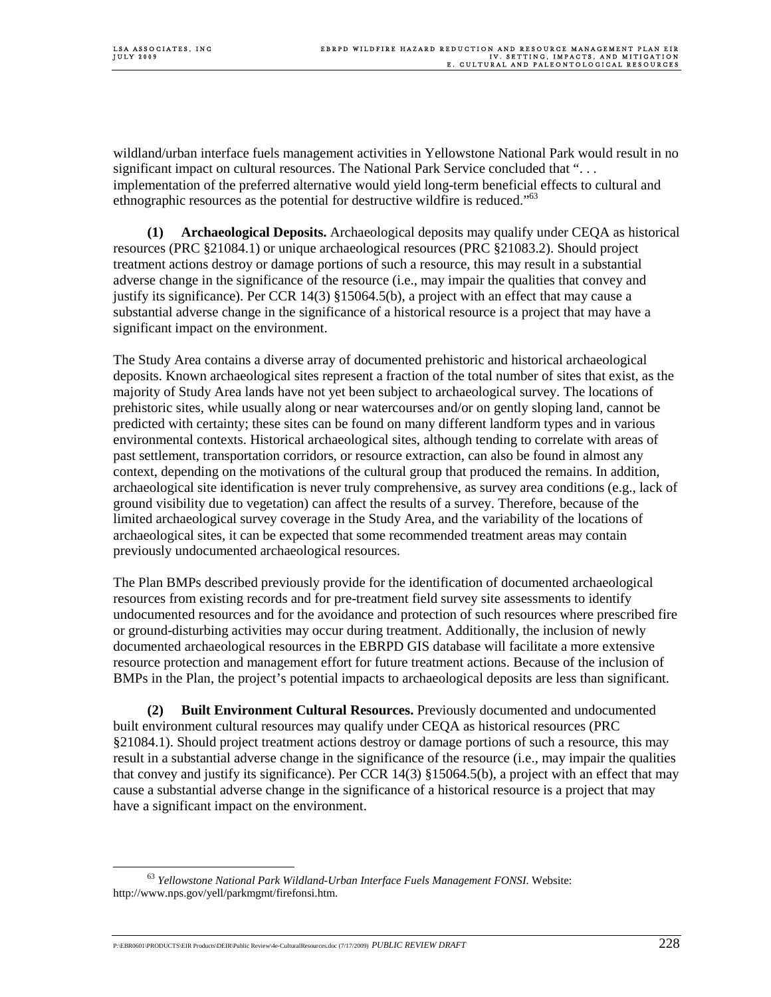wildland/urban interface fuels management activities in Yellowstone National Park would result in no significant impact on cultural resources. The National Park Service concluded that ". . . implementation of the preferred alternative would yield long-term beneficial effects to cultural and ethnographic resources as the potential for destructive wildfire is reduced."<sup>63</sup>

**(1) Archaeological Deposits.** Archaeological deposits may qualify under CEQA as historical resources (PRC §21084.1) or unique archaeological resources (PRC §21083.2). Should project treatment actions destroy or damage portions of such a resource, this may result in a substantial adverse change in the significance of the resource (i.e., may impair the qualities that convey and justify its significance). Per CCR 14(3) §15064.5(b), a project with an effect that may cause a substantial adverse change in the significance of a historical resource is a project that may have a significant impact on the environment.

The Study Area contains a diverse array of documented prehistoric and historical archaeological deposits. Known archaeological sites represent a fraction of the total number of sites that exist, as the majority of Study Area lands have not yet been subject to archaeological survey. The locations of prehistoric sites, while usually along or near watercourses and/or on gently sloping land, cannot be predicted with certainty; these sites can be found on many different landform types and in various environmental contexts. Historical archaeological sites, although tending to correlate with areas of past settlement, transportation corridors, or resource extraction, can also be found in almost any context, depending on the motivations of the cultural group that produced the remains. In addition, archaeological site identification is never truly comprehensive, as survey area conditions (e.g., lack of ground visibility due to vegetation) can affect the results of a survey. Therefore, because of the limited archaeological survey coverage in the Study Area, and the variability of the locations of archaeological sites, it can be expected that some recommended treatment areas may contain previously undocumented archaeological resources.

The Plan BMPs described previously provide for the identification of documented archaeological resources from existing records and for pre-treatment field survey site assessments to identify undocumented resources and for the avoidance and protection of such resources where prescribed fire or ground-disturbing activities may occur during treatment. Additionally, the inclusion of newly documented archaeological resources in the EBRPD GIS database will facilitate a more extensive resource protection and management effort for future treatment actions. Because of the inclusion of BMPs in the Plan, the project's potential impacts to archaeological deposits are less than significant.

**(2) Built Environment Cultural Resources.** Previously documented and undocumented built environment cultural resources may qualify under CEQA as historical resources (PRC §21084.1). Should project treatment actions destroy or damage portions of such a resource, this may result in a substantial adverse change in the significance of the resource (i.e., may impair the qualities that convey and justify its significance). Per CCR 14(3) §15064.5(b), a project with an effect that may cause a substantial adverse change in the significance of a historical resource is a project that may have a significant impact on the environment.

 <sup>63</sup> *Yellowstone National Park Wildland-Urban Interface Fuels Management FONSI.* Website: http://www.nps.gov/yell/parkmgmt/firefonsi.htm.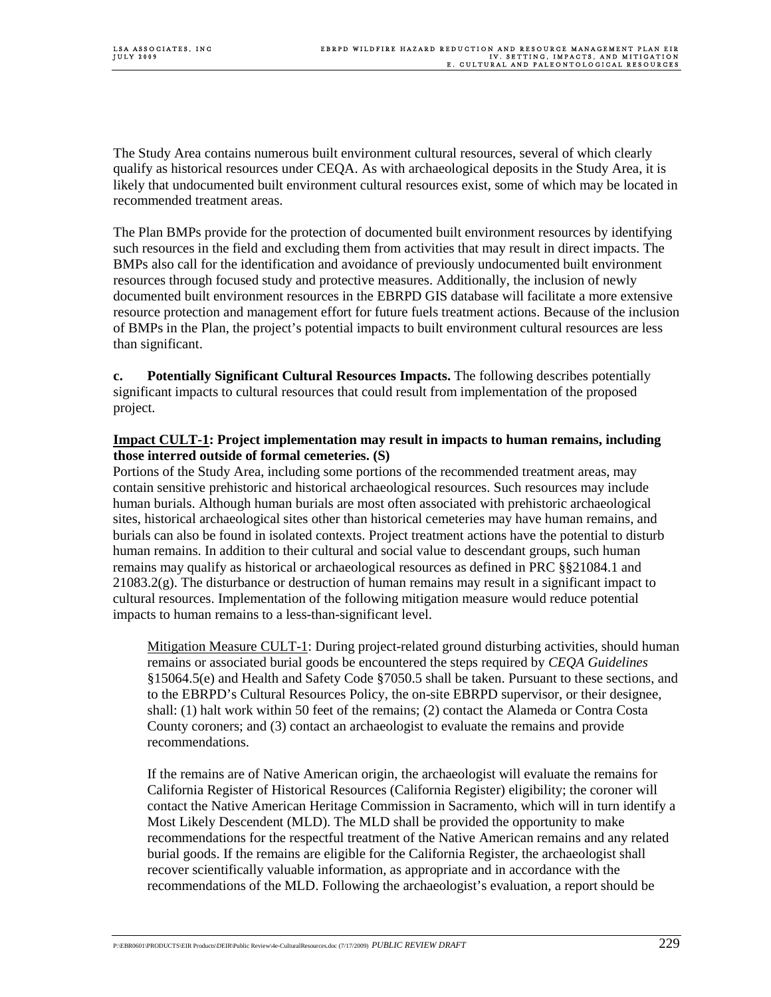The Study Area contains numerous built environment cultural resources, several of which clearly qualify as historical resources under CEQA. As with archaeological deposits in the Study Area, it is likely that undocumented built environment cultural resources exist, some of which may be located in recommended treatment areas.

The Plan BMPs provide for the protection of documented built environment resources by identifying such resources in the field and excluding them from activities that may result in direct impacts. The BMPs also call for the identification and avoidance of previously undocumented built environment resources through focused study and protective measures. Additionally, the inclusion of newly documented built environment resources in the EBRPD GIS database will facilitate a more extensive resource protection and management effort for future fuels treatment actions. Because of the inclusion of BMPs in the Plan, the project's potential impacts to built environment cultural resources are less than significant.

**c. Potentially Significant Cultural Resources Impacts.** The following describes potentially significant impacts to cultural resources that could result from implementation of the proposed project.

### **Impact CULT-1: Project implementation may result in impacts to human remains, including those interred outside of formal cemeteries. (S)**

Portions of the Study Area, including some portions of the recommended treatment areas, may contain sensitive prehistoric and historical archaeological resources. Such resources may include human burials. Although human burials are most often associated with prehistoric archaeological sites, historical archaeological sites other than historical cemeteries may have human remains, and burials can also be found in isolated contexts. Project treatment actions have the potential to disturb human remains. In addition to their cultural and social value to descendant groups, such human remains may qualify as historical or archaeological resources as defined in PRC §§21084.1 and  $21083.2(g)$ . The disturbance or destruction of human remains may result in a significant impact to cultural resources. Implementation of the following mitigation measure would reduce potential impacts to human remains to a less-than-significant level.

Mitigation Measure CULT-1: During project-related ground disturbing activities, should human remains or associated burial goods be encountered the steps required by *CEQA Guidelines* §15064.5(e) and Health and Safety Code §7050.5 shall be taken. Pursuant to these sections, and to the EBRPD's Cultural Resources Policy, the on-site EBRPD supervisor, or their designee, shall: (1) halt work within 50 feet of the remains; (2) contact the Alameda or Contra Costa County coroners; and (3) contact an archaeologist to evaluate the remains and provide recommendations.

If the remains are of Native American origin, the archaeologist will evaluate the remains for California Register of Historical Resources (California Register) eligibility; the coroner will contact the Native American Heritage Commission in Sacramento, which will in turn identify a Most Likely Descendent (MLD). The MLD shall be provided the opportunity to make recommendations for the respectful treatment of the Native American remains and any related burial goods. If the remains are eligible for the California Register, the archaeologist shall recover scientifically valuable information, as appropriate and in accordance with the recommendations of the MLD. Following the archaeologist's evaluation, a report should be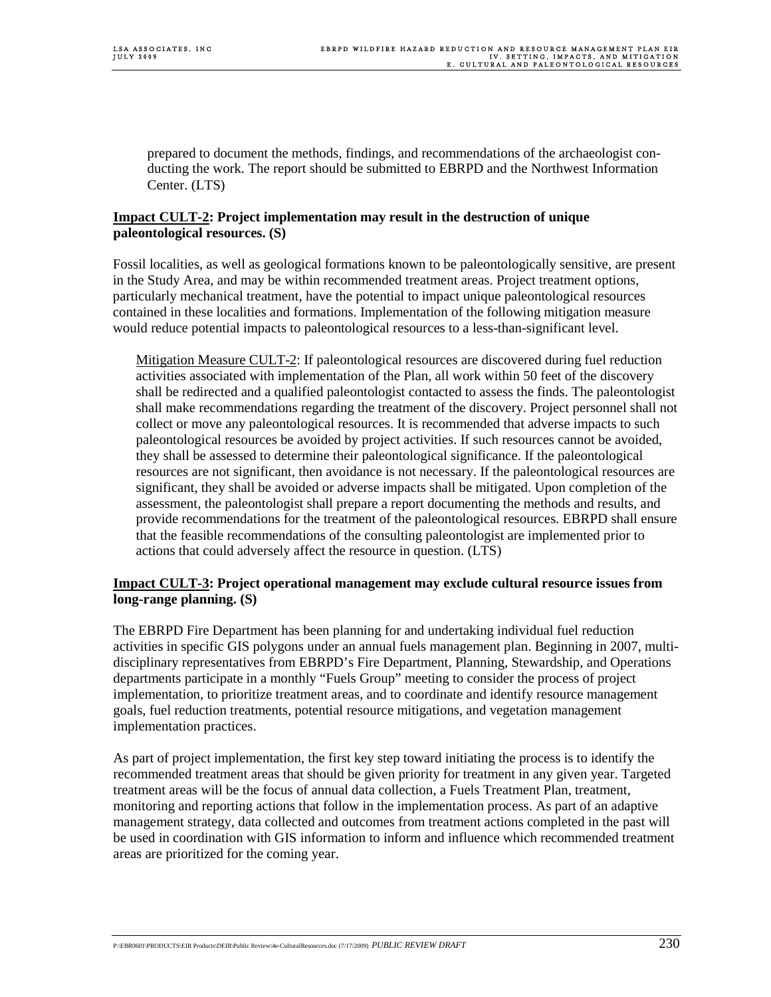prepared to document the methods, findings, and recommendations of the archaeologist conducting the work. The report should be submitted to EBRPD and the Northwest Information Center. (LTS)

### **Impact CULT-2: Project implementation may result in the destruction of unique paleontological resources. (S)**

Fossil localities, as well as geological formations known to be paleontologically sensitive, are present in the Study Area, and may be within recommended treatment areas. Project treatment options, particularly mechanical treatment, have the potential to impact unique paleontological resources contained in these localities and formations. Implementation of the following mitigation measure would reduce potential impacts to paleontological resources to a less-than-significant level.

Mitigation Measure CULT-2: If paleontological resources are discovered during fuel reduction activities associated with implementation of the Plan, all work within 50 feet of the discovery shall be redirected and a qualified paleontologist contacted to assess the finds. The paleontologist shall make recommendations regarding the treatment of the discovery. Project personnel shall not collect or move any paleontological resources. It is recommended that adverse impacts to such paleontological resources be avoided by project activities. If such resources cannot be avoided, they shall be assessed to determine their paleontological significance. If the paleontological resources are not significant, then avoidance is not necessary. If the paleontological resources are significant, they shall be avoided or adverse impacts shall be mitigated. Upon completion of the assessment, the paleontologist shall prepare a report documenting the methods and results, and provide recommendations for the treatment of the paleontological resources. EBRPD shall ensure that the feasible recommendations of the consulting paleontologist are implemented prior to actions that could adversely affect the resource in question. (LTS)

## **Impact CULT-3: Project operational management may exclude cultural resource issues from long-range planning. (S)**

The EBRPD Fire Department has been planning for and undertaking individual fuel reduction activities in specific GIS polygons under an annual fuels management plan. Beginning in 2007, multidisciplinary representatives from EBRPD's Fire Department, Planning, Stewardship, and Operations departments participate in a monthly "Fuels Group" meeting to consider the process of project implementation, to prioritize treatment areas, and to coordinate and identify resource management goals, fuel reduction treatments, potential resource mitigations, and vegetation management implementation practices.

As part of project implementation, the first key step toward initiating the process is to identify the recommended treatment areas that should be given priority for treatment in any given year. Targeted treatment areas will be the focus of annual data collection, a Fuels Treatment Plan, treatment, monitoring and reporting actions that follow in the implementation process. As part of an adaptive management strategy, data collected and outcomes from treatment actions completed in the past will be used in coordination with GIS information to inform and influence which recommended treatment areas are prioritized for the coming year.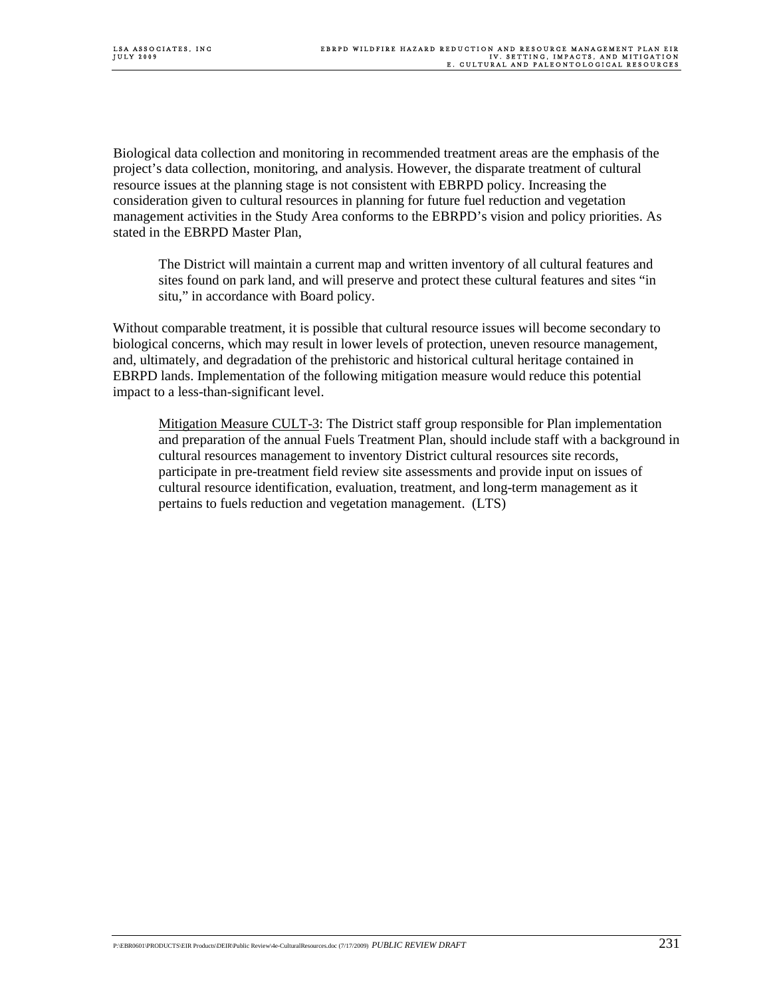Biological data collection and monitoring in recommended treatment areas are the emphasis of the project's data collection, monitoring, and analysis. However, the disparate treatment of cultural resource issues at the planning stage is not consistent with EBRPD policy. Increasing the consideration given to cultural resources in planning for future fuel reduction and vegetation management activities in the Study Area conforms to the EBRPD's vision and policy priorities. As stated in the EBRPD Master Plan,

The District will maintain a current map and written inventory of all cultural features and sites found on park land, and will preserve and protect these cultural features and sites "in situ," in accordance with Board policy.

Without comparable treatment, it is possible that cultural resource issues will become secondary to biological concerns, which may result in lower levels of protection, uneven resource management, and, ultimately, and degradation of the prehistoric and historical cultural heritage contained in EBRPD lands. Implementation of the following mitigation measure would reduce this potential impact to a less-than-significant level.

Mitigation Measure CULT-3: The District staff group responsible for Plan implementation and preparation of the annual Fuels Treatment Plan, should include staff with a background in cultural resources management to inventory District cultural resources site records, participate in pre-treatment field review site assessments and provide input on issues of cultural resource identification, evaluation, treatment, and long-term management as it pertains to fuels reduction and vegetation management. (LTS)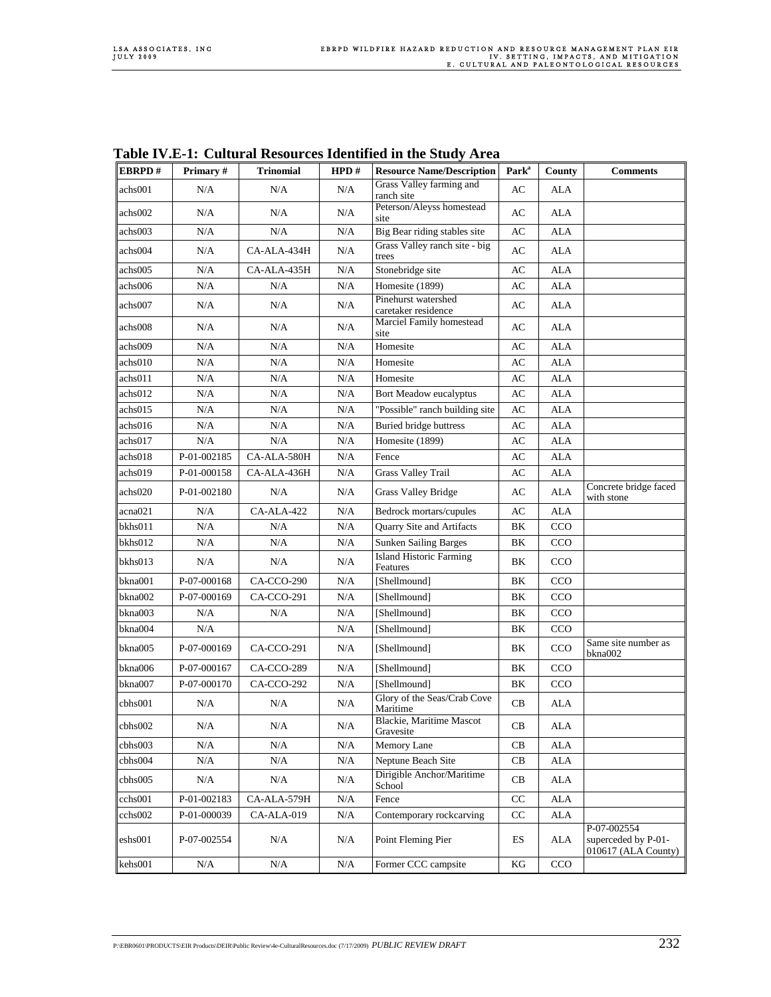|                  |             |                   |           | radic ry. B r, Canarai Resources Richmica in the Study Area |                     |            |                                                           |
|------------------|-------------|-------------------|-----------|-------------------------------------------------------------|---------------------|------------|-----------------------------------------------------------|
| <b>EBRPD#</b>    | Primary#    | <b>Trinomial</b>  | HPD#      | <b>Resource Name/Description</b>                            | Park <sup>a</sup>   | County     | <b>Comments</b>                                           |
| achs001          | N/A         | N/A               | N/A       | Grass Valley farming and<br>ranch site                      | AC                  | ALA        |                                                           |
| achs002          | N/A         | N/A               | N/A       | Peterson/Aleyss homestead<br>site                           | AC                  | ALA        |                                                           |
| achs003          | N/A         | N/A               | N/A       | Big Bear riding stables site                                | AC                  | ALA        |                                                           |
| achs004          | N/A         | CA-ALA-434H       | N/A       | Grass Valley ranch site - big<br>trees                      | AC                  | ALA        |                                                           |
| achs005          | N/A         | CA-ALA-435H       | N/A       | Stonebridge site                                            | AC                  | ALA        |                                                           |
| achs006          | N/A         | N/A               | N/A       | Homesite (1899)                                             | AC                  | <b>ALA</b> |                                                           |
| achs007          | N/A         | N/A               | N/A       | Pinehurst watershed<br>caretaker residence                  | AC                  | ALA        |                                                           |
| achs008          | N/A         | N/A               | N/A       | Marciel Family homestead<br>site                            | AC                  | ALA        |                                                           |
| achs009          | N/A         | N/A               | N/A       | Homesite                                                    | AC                  | <b>ALA</b> |                                                           |
| achs010          | N/A         | $\rm N/A$         | N/A       | Homesite                                                    | AC                  | <b>ALA</b> |                                                           |
| achs011          | N/A         | N/A               | N/A       | Homesite                                                    | AC                  | <b>ALA</b> |                                                           |
| achs012          | N/A         | N/A               | N/A       | Bort Meadow eucalyptus                                      | AC                  | <b>ALA</b> |                                                           |
| achs015          | N/A         | $\rm N/A$         | N/A       | "Possible" ranch building site                              | AC                  | ALA        |                                                           |
| achs016          | N/A         | N/A               | N/A       | <b>Buried bridge buttress</b>                               | AC                  | <b>ALA</b> |                                                           |
| achs017          | N/A         | N/A               | N/A       | Homesite (1899)                                             | AC                  | <b>ALA</b> |                                                           |
| achs018          | P-01-002185 | CA-ALA-580H       | N/A       | Fence                                                       | AC                  | <b>ALA</b> |                                                           |
| achs019          | P-01-000158 | CA-ALA-436H       | N/A       | <b>Grass Valley Trail</b>                                   | AC                  | <b>ALA</b> |                                                           |
| achs020          | P-01-002180 | N/A               | N/A       | <b>Grass Valley Bridge</b>                                  | AC                  | ALA        | Concrete bridge faced<br>with stone                       |
| acna021          | N/A         | CA-ALA-422        | N/A       | Bedrock mortars/cupules                                     | AC                  | <b>ALA</b> |                                                           |
| bkhs011          | N/A         | N/A               | N/A       | Quarry Site and Artifacts                                   | BK                  | CCO        |                                                           |
| bkhs012          | N/A         | N/A               | N/A       | <b>Sunken Sailing Barges</b>                                | BK                  | CCO        |                                                           |
| bkhs013          | N/A         | N/A               | N/A       | <b>Island Historic Farming</b><br>Features                  | BK                  | CCO        |                                                           |
| bkna001          | P-07-000168 | CA-CCO-290        | N/A       | [Shellmound]                                                | BK                  | CCO        |                                                           |
| bkna002          | P-07-000169 | <b>CA-CCO-291</b> | N/A       | [Shellmound]                                                | BK                  | CCO        |                                                           |
| bkna003          | N/A         | N/A               | N/A       | [Shellmound]                                                | BK                  | CCO        |                                                           |
| bkna004          | N/A         |                   | N/A       | [Shellmound]                                                | BK                  | CCO        |                                                           |
| bkna005          | P-07-000169 | CA-CCO-291        | N/A       | [Shellmound]                                                | BK                  | CCO        | Same site number as<br>bkna002                            |
| bkna006          | P-07-000167 | CA-CCO-289        | N/A       | [Shellmound]                                                | ΒK                  | CCO        |                                                           |
| bkna007          | P-07-000170 | CA-CCO-292        | N/A       | [Shellmound]                                                | BK                  | CCO        |                                                           |
| cbhs001          | N/A         | N/A               | N/A       | Glory of the Seas/Crab Cove<br>Maritime                     | CB                  | <b>ALA</b> |                                                           |
| cbhs002          | N/A         | N/A               | N/A       | <b>Blackie</b> , Maritime Mascot<br>Gravesite               | CB                  | ALA        |                                                           |
| cbhs003          | N/A         | $\rm N/A$         | N/A       | Memory Lane                                                 | CB                  | <b>ALA</b> |                                                           |
| cbhs004          | N/A         | $\rm N/A$         | $\rm N/A$ | Neptune Beach Site                                          | $\operatorname{CB}$ | <b>ALA</b> |                                                           |
| cbhs005          | N/A         | N/A               | N/A       | Dirigible Anchor/Maritime<br>School                         | CB                  | ALA        |                                                           |
| cchs001          | P-01-002183 | CA-ALA-579H       | N/A       | Fence                                                       | CC                  | <b>ALA</b> |                                                           |
| cchs002          | P-01-000039 | CA-ALA-019        | $\rm N/A$ | Contemporary rockcarving                                    | CC                  | ALA        |                                                           |
| eshs001          | P-07-002554 | N/A               | N/A       | Point Fleming Pier                                          | ES                  | <b>ALA</b> | P-07-002554<br>superceded by P-01-<br>010617 (ALA County) |
| $\text{kehs}001$ | $\rm N/A$   | $\rm N/A$         | N/A       | Former CCC campsite                                         | KG                  | CCO        |                                                           |
|                  |             |                   |           |                                                             |                     |            |                                                           |

**Table IV.E-1: Cultural Resources Identified in the Study Area**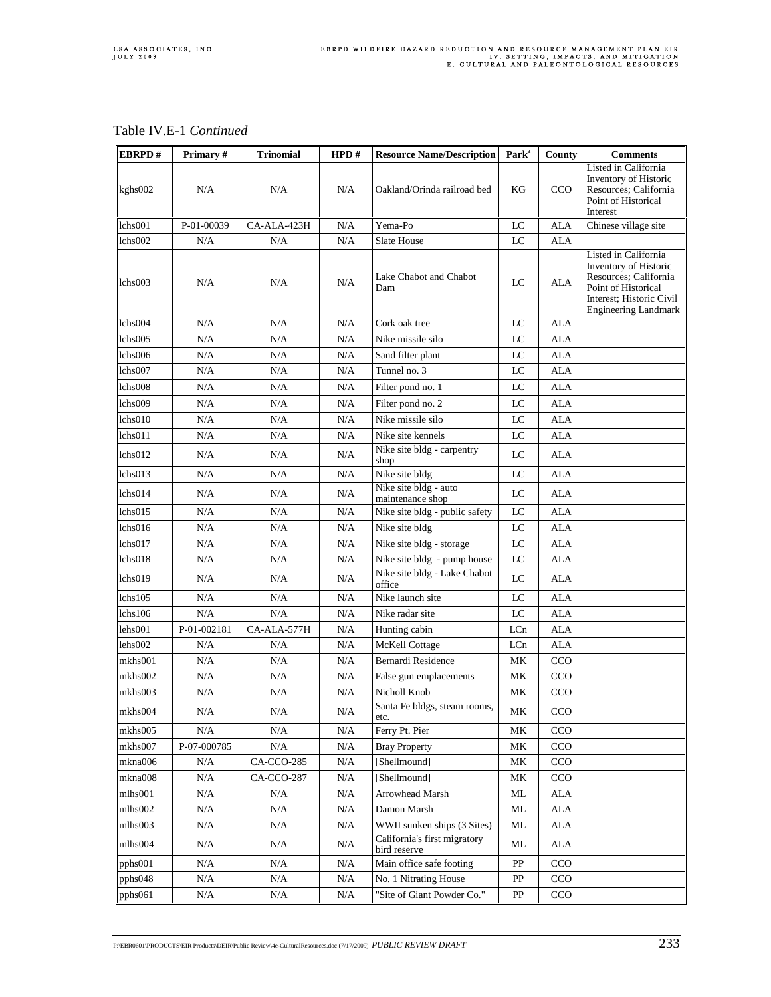Table IV.E-1 *Continued*

| EBRPD#  | Primary#    | <b>Trinomial</b> | HPD# | <b>Resource Name/Description</b>             | Park <sup>a</sup> | County     | <b>Comments</b>                                                                                                                                          |
|---------|-------------|------------------|------|----------------------------------------------|-------------------|------------|----------------------------------------------------------------------------------------------------------------------------------------------------------|
| kghs002 | N/A         | N/A              | N/A  | Oakland/Orinda railroad bed                  | KG                | <b>CCO</b> | Listed in California<br>Inventory of Historic<br>Resources; California<br>Point of Historical<br>Interest                                                |
| lchs001 | P-01-00039  | CA-ALA-423H      | N/A  | Yema-Po                                      | LC                | <b>ALA</b> | Chinese village site                                                                                                                                     |
| lchs002 | N/A         | N/A              | N/A  | Slate House                                  | LC                | <b>ALA</b> |                                                                                                                                                          |
| lchs003 | N/A         | N/A              | N/A  | Lake Chabot and Chabot<br>Dam                | LC                | ALA        | Listed in California<br>Inventory of Historic<br>Resources; California<br>Point of Historical<br>Interest; Historic Civil<br><b>Engineering Landmark</b> |
| lchs004 | N/A         | N/A              | N/A  | Cork oak tree                                | LC                | ALA        |                                                                                                                                                          |
| lchs005 | N/A         | N/A              | N/A  | Nike missile silo                            | LC                | <b>ALA</b> |                                                                                                                                                          |
| lchs006 | N/A         | N/A              | N/A  | Sand filter plant                            | LC                | <b>ALA</b> |                                                                                                                                                          |
| lchs007 | N/A         | N/A              | N/A  | Tunnel no. 3                                 | $_{\rm LC}$       | <b>ALA</b> |                                                                                                                                                          |
| lchs008 | N/A         | N/A              | N/A  | Filter pond no. 1                            | $_{\rm LC}$       | <b>ALA</b> |                                                                                                                                                          |
| lchs009 | N/A         | N/A              | N/A  | Filter pond no. 2                            | LC                | <b>ALA</b> |                                                                                                                                                          |
| lchs010 | N/A         | N/A              | N/A  | Nike missile silo                            | LC                | <b>ALA</b> |                                                                                                                                                          |
| lchs011 | N/A         | N/A              | N/A  | Nike site kennels                            | $_{\rm LC}$       | <b>ALA</b> |                                                                                                                                                          |
| lchs012 | N/A         | N/A              | N/A  | Nike site bldg - carpentry<br>shop           | LC                | <b>ALA</b> |                                                                                                                                                          |
| lchs013 | N/A         | N/A              | N/A  | Nike site bldg                               | LC                | <b>ALA</b> |                                                                                                                                                          |
| lchs014 | N/A         | N/A              | N/A  | Nike site bldg - auto<br>maintenance shop    | LC                | ALA        |                                                                                                                                                          |
| lchs015 | N/A         | N/A              | N/A  | Nike site bldg - public safety               | LC                | ALA        |                                                                                                                                                          |
| lchs016 | N/A         | N/A              | N/A  | Nike site bldg                               | $_{\rm LC}$       | <b>ALA</b> |                                                                                                                                                          |
| lchs017 | N/A         | N/A              | N/A  | Nike site bldg - storage                     | $_{\rm LC}$       | <b>ALA</b> |                                                                                                                                                          |
| lchs018 | N/A         | N/A              | N/A  | Nike site bldg - pump house                  | $_{\rm LC}$       | <b>ALA</b> |                                                                                                                                                          |
| lchs019 | N/A         | N/A              | N/A  | Nike site bldg - Lake Chabot<br>office       | LC                | <b>ALA</b> |                                                                                                                                                          |
| lchs105 | N/A         | N/A              | N/A  | Nike launch site                             | LC                | <b>ALA</b> |                                                                                                                                                          |
| lchs106 | N/A         | N/A              | N/A  | Nike radar site                              | LC                | <b>ALA</b> |                                                                                                                                                          |
| lehs001 | P-01-002181 | CA-ALA-577H      | N/A  | Hunting cabin                                | LCn               | ALA        |                                                                                                                                                          |
| lehs002 | N/A         | N/A              | N/A  | <b>McKell Cottage</b>                        | LCn               | ALA        |                                                                                                                                                          |
| mkhs001 | N/A         | N/A              | N/A  | Bernardi Residence                           | MK                | CCO        |                                                                                                                                                          |
| mkhs002 | N/A         | N/A              | N/A  | False gun emplacements                       | МK                | CCO        |                                                                                                                                                          |
| mkhs003 | N/A         | N/A              | N/A  | Nicholl Knob                                 | МK                | CCO        |                                                                                                                                                          |
| mkhs004 | $\rm N/A$   | N/A              | N/A  | Santa Fe bldgs, steam rooms,<br>etc.         | MК                | CCO        |                                                                                                                                                          |
| mkhs005 | N/A         | N/A              | N/A  | Ferry Pt. Pier                               | MК                | CCO        |                                                                                                                                                          |
| mkhs007 | P-07-000785 | $\rm N/A$        | N/A  | <b>Bray Property</b>                         | MK                | CCO        |                                                                                                                                                          |
| mkna006 | N/A         | CA-CCO-285       | N/A  | [Shellmound]                                 | MК                | CCO        |                                                                                                                                                          |
| mkna008 | N/A         | CA-CCO-287       | N/A  | [Shellmound]                                 | MК                | CCO        |                                                                                                                                                          |
| mlhs001 | N/A         | N/A              | N/A  | Arrowhead Marsh                              | $\rm ML$          | <b>ALA</b> |                                                                                                                                                          |
| mlhs002 | $\rm N/A$   | $\rm N/A$        | N/A  | Damon Marsh                                  | ML                | ALA        |                                                                                                                                                          |
| mlhs003 | N/A         | N/A              | N/A  | WWII sunken ships (3 Sites)                  | ML                | ALA        |                                                                                                                                                          |
| mlhs004 | N/A         | N/A              | N/A  | California's first migratory<br>bird reserve | ML                | ALA        |                                                                                                                                                          |
| pphs001 | $\rm N/A$   | N/A              | N/A  | Main office safe footing                     | PP                | CCO        |                                                                                                                                                          |
| pphs048 | N/A         | N/A              | N/A  | No. 1 Nitrating House                        | PP                | CCO        |                                                                                                                                                          |
| pphs061 | N/A         | N/A              | N/A  | "Site of Giant Powder Co."                   | PP                | CCO        |                                                                                                                                                          |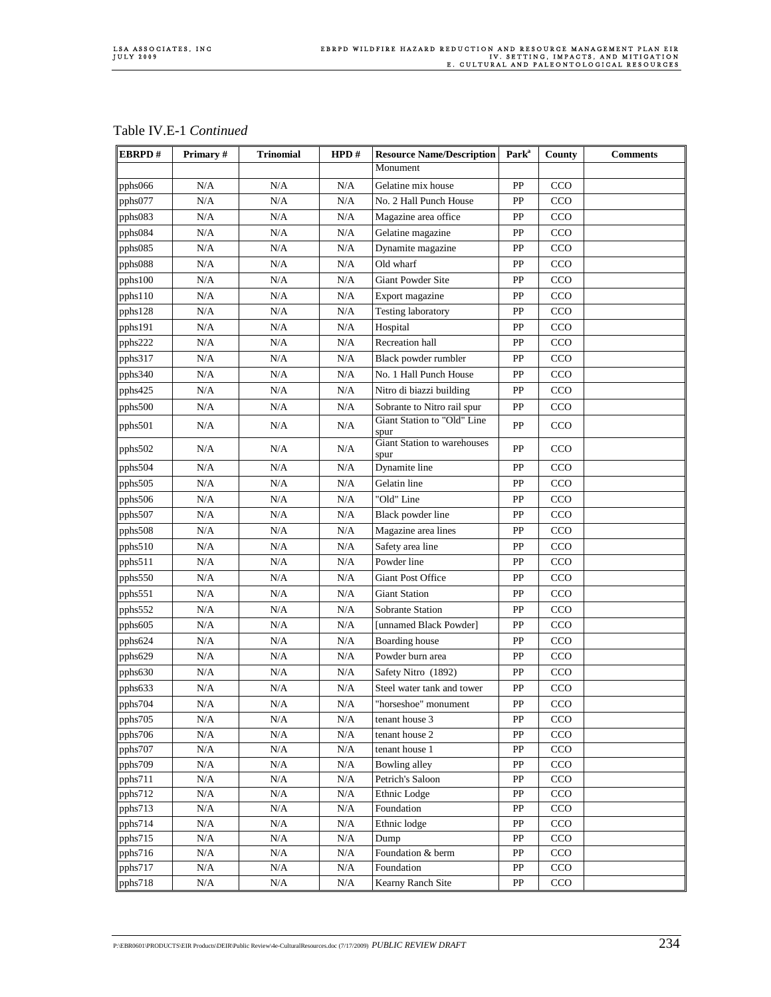| Table IV.E-1 Continued |  |
|------------------------|--|
|------------------------|--|

| EBRPD#  | Primary#         | <b>Trinomial</b> | HPD#       | <b>Resource Name/Description</b>    | Park <sup>a</sup> | County     | <b>Comments</b> |
|---------|------------------|------------------|------------|-------------------------------------|-------------------|------------|-----------------|
|         |                  |                  |            | Monument                            |                   |            |                 |
| pphs066 | N/A              | N/A              | N/A        | Gelatine mix house                  | PP                | CCO        |                 |
| pphs077 | N/A              | N/A              | N/A        | No. 2 Hall Punch House              | PP                | CCO        |                 |
| pphs083 | N/A              | N/A              | N/A        | Magazine area office                | PP                | CCO        |                 |
| pphs084 | $\rm N/A$        | N/A              | N/A        | Gelatine magazine                   | PP                | <b>CCO</b> |                 |
| pphs085 | N/A              | N/A              | N/A        | Dynamite magazine                   | PP                | CCO        |                 |
| pphs088 | N/A              | N/A              | N/A        | Old wharf                           | PP                | CCO        |                 |
| pphs100 | N/A              | N/A              | N/A        | Giant Powder Site                   | PP                | CCO        |                 |
| pphs110 | N/A              | N/A              | N/A        | Export magazine                     | PP                | CCO        |                 |
| pphs128 | N/A              | $\rm N/A$        | N/A        | <b>Testing laboratory</b>           | PP                | CCO        |                 |
| pphs191 | N/A              | N/A              | N/A        | Hospital                            | PP                | CCO        |                 |
| pphs222 | N/A              | N/A              | N/A        | Recreation hall                     | PP                | CCO        |                 |
| pphs317 | N/A              | $\rm N/A$        | N/A        | Black powder rumbler                | ${\rm PP}$        | CCO        |                 |
| pphs340 | N/A              | N/A              | N/A        | No. 1 Hall Punch House              | PP                | CCO        |                 |
| pphs425 | N/A              | N/A              | N/A        | Nitro di biazzi building            | PP                | CCO        |                 |
| pphs500 | N/A              | N/A              | N/A        | Sobrante to Nitro rail spur         | PP                | CCO        |                 |
| pphs501 | N/A              | N/A              | N/A        | Giant Station to "Old" Line<br>spur | PP                | CCO        |                 |
| pphs502 | N/A              | N/A              | N/A        | Giant Station to warehouses<br>spur | PP                | CCO        |                 |
| pphs504 | N/A              | N/A              | N/A        | Dynamite line                       | PP                | CCO        |                 |
| pphs505 | N/A              | $\rm N/A$        | N/A        | Gelatin line                        | PP                | CCO        |                 |
| pphs506 | N/A              | N/A              | N/A        | "Old" Line                          | PP                | CCO        |                 |
| pphs507 | N/A              | N/A              | N/A        | Black powder line                   | PP                | CCO        |                 |
| pphs508 | N/A              | N/A              | N/A        | Magazine area lines                 | PP                | CCO        |                 |
| pphs510 | N/A              | N/A              | N/A        | Safety area line                    | PP                | CCO        |                 |
| pphs511 | N/A              | N/A              | N/A        | Powder line                         | PP                | CCO        |                 |
| pphs550 | N/A              | N/A              | N/A        | <b>Giant Post Office</b>            | PP                | CCO        |                 |
| pphs551 | N/A              | N/A              | N/A        | <b>Giant Station</b>                | PP                | CCO        |                 |
| pphs552 | N/A              | N/A              | N/A        | Sobrante Station                    | PP                | CCO        |                 |
| pphs605 | N/A              | N/A              | N/A        | [unnamed Black Powder]              | PP                | CCO        |                 |
| pphs624 | N/A              | N/A              | N/A        | Boarding house                      | PP                | CCO        |                 |
| pphs629 | N/A              | N/A              | N/A        | Powder burn area                    | PP                | CCO        |                 |
| pphs630 | N/A              | N/A              | N/A        | Safety Nitro (1892)                 | PP                | CCO        |                 |
| pphs633 | N/A              | N/A              | N/A        | Steel water tank and tower          | PP                | CCO        |                 |
| pphs704 | N/A              | N/A              | N/A        | "horseshoe" monument                | PP                | CCO        |                 |
| pphs705 | N/A              | N/A              | N/A        | tenant house 3                      | PP                | CCO        |                 |
| pphs706 | N/A              | N/A              | N/A        | tenant house 2                      | PP                | CCO        |                 |
| pphs707 | N/A              | N/A              | N/A        | tenant house 1                      | PP                | CCO        |                 |
| pphs709 | N/A              | N/A              | N/A        | <b>Bowling alley</b>                | PP                | CCO        |                 |
| pphs711 | $\rm N/A$        | $\rm N/A$        | $\rm N/A$  | Petrich's Saloon                    | PP                | CCO        |                 |
| pphs712 | N/A              | $\rm N/A$        | $\rm N/A$  | Ethnic Lodge                        | PP                | CCO        |                 |
| pphs713 | N/A              | N/A              | $\rm N/A$  | Foundation                          | PP                | CCO        |                 |
| pphs714 | N/A              | $\rm N/A$        | $\rm N/A$  | Ethnic lodge                        | PP                | CCO        |                 |
| pphs715 | N/A              | N/A              | N/A        | Dump                                | PP                | CCO        |                 |
| pphs716 | N/A              | N/A<br>N/A       | N/A<br>N/A | Foundation & berm<br>Foundation     | PP<br>PP          | CCO<br>CCO |                 |
| pphs717 | $\rm N/A$<br>N/A | N/A              | N/A        | Kearny Ranch Site                   | PP                | CCO        |                 |
| pphs718 |                  |                  |            |                                     |                   |            |                 |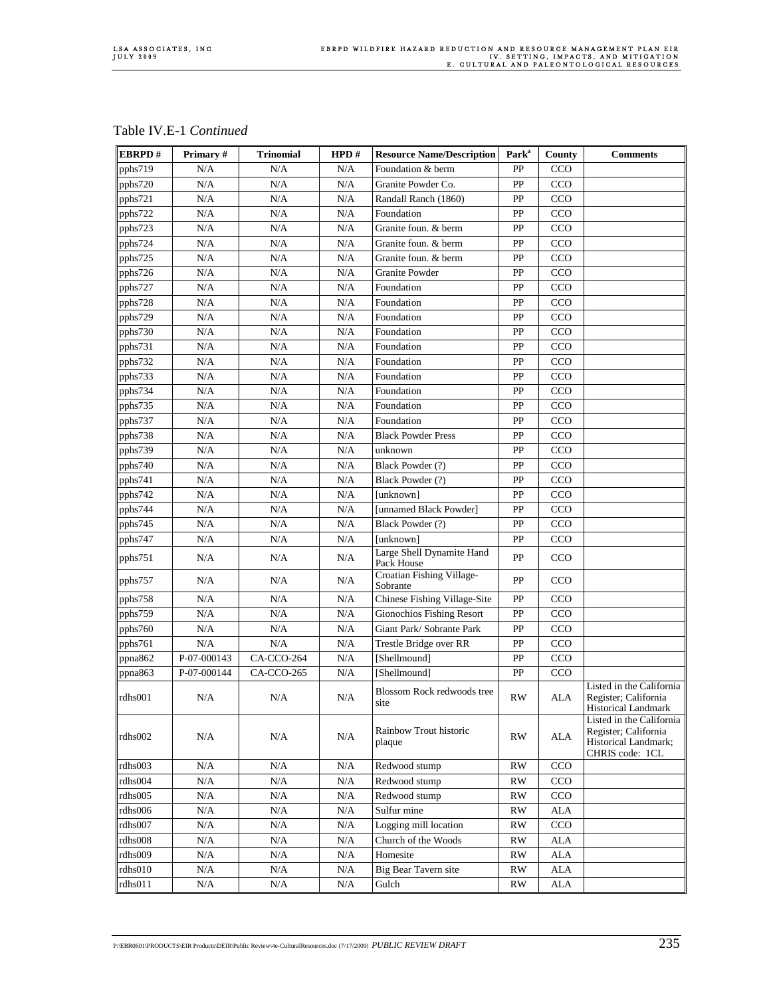| Table IV.E-1 Continued |  |
|------------------------|--|
|------------------------|--|

| EBRPD#  | Primary#    | <b>Trinomial</b> | HPD#      | <b>Resource Name/Description</b>          | Park <sup>a</sup>      | County      | <b>Comments</b>                                                                             |
|---------|-------------|------------------|-----------|-------------------------------------------|------------------------|-------------|---------------------------------------------------------------------------------------------|
| pphs719 | N/A         | N/A              | N/A       | Foundation & berm                         | PP                     | CCO         |                                                                                             |
| pphs720 | N/A         | N/A              | N/A       | Granite Powder Co.                        | PP                     | CCO         |                                                                                             |
| pphs721 | N/A         | N/A              | N/A       | Randall Ranch (1860)                      | PP                     | CCO         |                                                                                             |
| pphs722 | N/A         | N/A              | N/A       | Foundation                                | PP                     | CCO         |                                                                                             |
| pphs723 | N/A         | N/A              | N/A       | Granite foun. & berm                      | PP                     | $_{\rm CO}$ |                                                                                             |
| pphs724 | N/A         | N/A              | N/A       | Granite foun. & berm                      | PP                     | CCO         |                                                                                             |
| pphs725 | N/A         | $\rm N/A$        | N/A       | Granite foun. & berm                      | PP                     | CCO         |                                                                                             |
| pphs726 | N/A         | N/A              | N/A       | Granite Powder                            | PP                     | CCO         |                                                                                             |
| pphs727 | N/A         | N/A              | N/A       | Foundation                                | PP                     | CCO         |                                                                                             |
| pphs728 | N/A         | N/A              | N/A       | Foundation                                | PP                     | CCO         |                                                                                             |
| pphs729 | N/A         | $\rm N/A$        | N/A       | Foundation                                | PP                     | CCO         |                                                                                             |
| pphs730 | N/A         | N/A              | N/A       | Foundation                                | PP                     | CCO         |                                                                                             |
| pphs731 | N/A         | N/A              | N/A       | Foundation                                | PP                     | CCO         |                                                                                             |
| pphs732 | N/A         | N/A              | N/A       | Foundation                                | PP                     | <b>CCO</b>  |                                                                                             |
| pphs733 | N/A         | N/A              | N/A       | Foundation                                | PP                     | <b>CCO</b>  |                                                                                             |
| pphs734 | N/A         | N/A              | N/A       | Foundation                                | PP                     | CCO         |                                                                                             |
| pphs735 | N/A         | N/A              | N/A       | Foundation                                | PP                     | CCO         |                                                                                             |
| pphs737 | N/A         | N/A              | N/A       | Foundation                                | PP                     | CCO         |                                                                                             |
| pphs738 | N/A         | $\rm N/A$        | N/A       | <b>Black Powder Press</b>                 | PP                     | CCO         |                                                                                             |
| pphs739 | N/A         | N/A              | N/A       | unknown                                   | PP                     | CCO         |                                                                                             |
| pphs740 | N/A         | N/A              | N/A       | Black Powder (?)                          | PP                     | CCO         |                                                                                             |
| pphs741 | N/A         | N/A              | N/A       | Black Powder (?)                          | PP                     | CCO         |                                                                                             |
| pphs742 | N/A         | N/A              | N/A       | [unknown]                                 | PP                     | CCO         |                                                                                             |
| pphs744 | N/A         | N/A              | N/A       | [unnamed Black Powder]                    | PP                     | CCO         |                                                                                             |
| pphs745 | N/A         | $\rm N/A$        | N/A       | Black Powder (?)                          | PP                     | CCO         |                                                                                             |
| pphs747 | N/A         | N/A              | N/A       | [unknown]                                 | PP                     | <b>CCO</b>  |                                                                                             |
| pphs751 | N/A         | N/A              | N/A       | Large Shell Dynamite Hand<br>Pack House   | PP                     | CCO         |                                                                                             |
| pphs757 | N/A         | N/A              | N/A       | Croatian Fishing Village-<br>Sobrante     | PP                     | CCO         |                                                                                             |
| pphs758 | N/A         | N/A              | N/A       | Chinese Fishing Village-Site              | PP                     | CCO         |                                                                                             |
| pphs759 | N/A         | N/A              | N/A       | <b>Gionochios Fishing Resort</b>          | PP                     | CCO         |                                                                                             |
| pphs760 | N/A         | N/A              | N/A       | Giant Park/ Sobrante Park                 | PP                     | CCO         |                                                                                             |
| pphs761 | N/A         | N/A              | N/A       | Trestle Bridge over RR                    | PP                     | CCO         |                                                                                             |
| ppna862 | P-07-000143 | CA-CCO-264       | N/A       | [Shellmound]                              | PP                     | CCO         |                                                                                             |
| ppna863 | P-07-000144 | CA-CCO-265       | N/A       | [Shellmound]                              | PP                     | <b>CCO</b>  |                                                                                             |
| rdhs001 | N/A         | N/A              | N/A       | <b>Blossom Rock redwoods tree</b><br>site | RW                     | ALA         | Listed in the California<br>Register; California<br>Historical Landmark                     |
| rdhs002 | N/A         | N/A              | N/A       | Rainbow Trout historic<br>plaque          | RW                     | <b>ALA</b>  | Listed in the California<br>Register; California<br>Historical Landmark;<br>CHRIS code: 1CL |
| rdhs003 | N/A         | $\rm N/A$        | N/A       | Redwood stump                             | <b>RW</b>              | CCO         |                                                                                             |
| rdhs004 | N/A         | $\rm N/A$        | N/A       | Redwood stump                             | RW                     | CCO         |                                                                                             |
| rdhs005 | N/A         | N/A              | N/A       | Redwood stump                             | RW                     | CCO         |                                                                                             |
| rdhs006 | N/A         | N/A              | N/A       | Sulfur mine                               | RW                     | ALA         |                                                                                             |
| rdhs007 | N/A         | N/A              | N/A       | Logging mill location                     | RW                     | $_{\rm CO}$ |                                                                                             |
| rdhs008 | N/A         | N/A              | N/A       | Church of the Woods                       | RW                     | ALA         |                                                                                             |
| rdhs009 | $\rm N/A$   | N/A              | N/A       | Homesite                                  | RW                     | ALA         |                                                                                             |
| rdhs010 | $\rm N/A$   | $\rm N/A$        | $\rm N/A$ | Big Bear Tavern site                      | $\mathbf{R}\mathbf{W}$ | ALA         |                                                                                             |
| rdhs011 | $\rm N/A$   | $\rm N/A$        | N/A       | Gulch                                     | RW                     | ALA         |                                                                                             |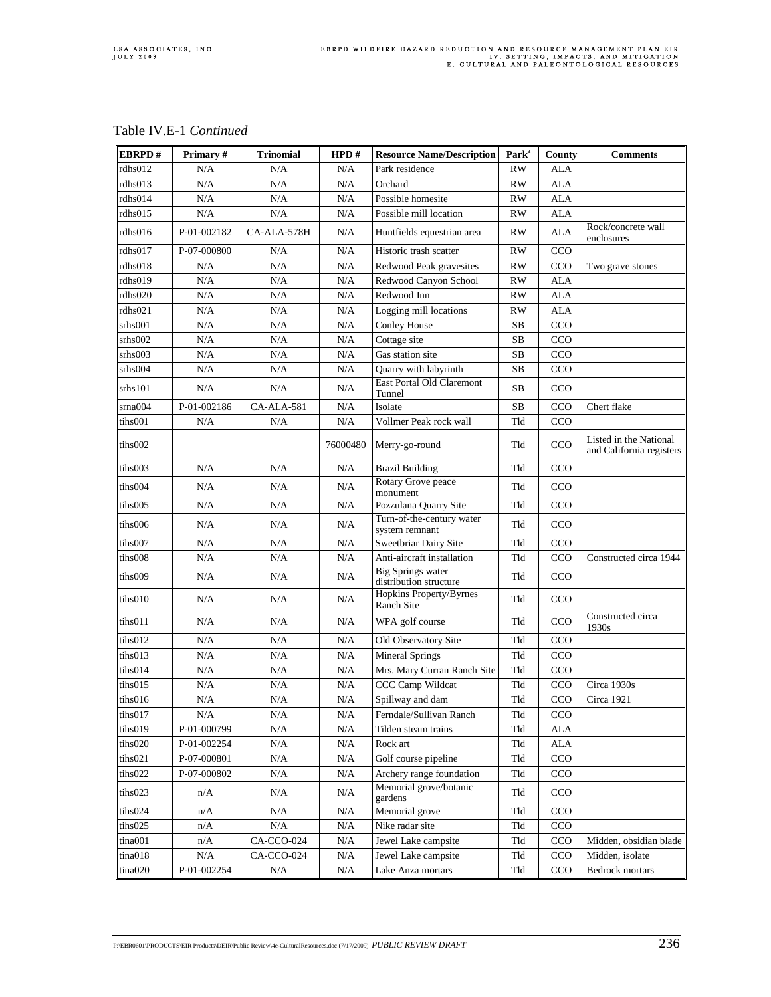| EBRPD#  | Primary#    | <b>Trinomial</b> | HPD#      | <b>Resource Name/Description</b>                   | Park <sup>a</sup> | County      | <b>Comments</b>                                    |
|---------|-------------|------------------|-----------|----------------------------------------------------|-------------------|-------------|----------------------------------------------------|
| rdhs012 | N/A         | N/A              | N/A       | Park residence                                     | <b>RW</b>         | <b>ALA</b>  |                                                    |
| rdhs013 | N/A         | $\rm N/A$        | N/A       | Orchard                                            | <b>RW</b>         | <b>ALA</b>  |                                                    |
| rdhs014 | N/A         | N/A              | N/A       | Possible homesite                                  | <b>RW</b>         | <b>ALA</b>  |                                                    |
| rdhs015 | N/A         | N/A              | N/A       | Possible mill location                             | <b>RW</b>         | <b>ALA</b>  |                                                    |
| rdhs016 | P-01-002182 | CA-ALA-578H      | N/A       | Huntfields equestrian area                         | <b>RW</b>         | ALA         | Rock/concrete wall<br>enclosures                   |
| rdhs017 | P-07-000800 | N/A              | N/A       | Historic trash scatter                             | <b>RW</b>         | CCO         |                                                    |
| rdhs018 | N/A         | N/A              | N/A       | Redwood Peak gravesites                            | RW                | CCO         | Two grave stones                                   |
| rdhs019 | N/A         | N/A              | N/A       | Redwood Canyon School                              | RW                | ALA         |                                                    |
| rdhs020 | N/A         | N/A              | N/A       | Redwood Inn                                        | <b>RW</b>         | <b>ALA</b>  |                                                    |
| rdhs021 | N/A         | N/A              | N/A       | Logging mill locations                             | <b>RW</b>         | <b>ALA</b>  |                                                    |
| srhs001 | N/A         | N/A              | N/A       | Conley House                                       | <b>SB</b>         | CCO         |                                                    |
| srhs002 | N/A         | N/A              | N/A       | Cottage site                                       | SB                | CCO         |                                                    |
| srhs003 | N/A         | N/A              | N/A       | Gas station site                                   | SB                | CCO         |                                                    |
| srhs004 | N/A         | $\rm N/A$        | N/A       | Quarry with labyrinth                              | SB                | CCO         |                                                    |
| srhs101 | N/A         | N/A              | N/A       | East Portal Old Claremont<br>Tunnel                | SB                | CCO         |                                                    |
| srna004 | P-01-002186 | CA-ALA-581       | N/A       | Isolate                                            | SB                | CCO         | Chert flake                                        |
| tihs001 | N/A         | N/A              | N/A       | Vollmer Peak rock wall                             | Tld               | CCO         |                                                    |
| tihs002 |             |                  | 76000480  | Merry-go-round                                     | Tld               | CCO         | Listed in the National<br>and California registers |
| tihs003 | N/A         | N/A              | N/A       | <b>Brazil Building</b>                             | Tld               | CCO         |                                                    |
| tihs004 | N/A         | N/A              | N/A       | Rotary Grove peace<br>monument                     | Tld               | CCO         |                                                    |
| tihs005 | N/A         | N/A              | N/A       | Pozzulana Quarry Site                              | Tld               | CCO         |                                                    |
| tihs006 | N/A         | N/A              | N/A       | Turn-of-the-century water<br>system remnant        | Tld               | CCO         |                                                    |
| tihs007 | N/A         | N/A              | N/A       | Sweetbriar Dairy Site                              | Tld               | CCO         |                                                    |
| tihs008 | N/A         | N/A              | N/A       | Anti-aircraft installation                         | Tld               | CCO         | Constructed circa 1944                             |
| tihs009 | N/A         | N/A              | N/A       | <b>Big Springs water</b><br>distribution structure | Tld               | CCO         |                                                    |
| tihs010 | N/A         | N/A              | N/A       | Hopkins Property/Byrnes<br>Ranch Site              | Tld               | CCO         |                                                    |
| tihs011 | N/A         | N/A              | N/A       | WPA golf course                                    | Tld               | CCO         | Constructed circa<br>1930s                         |
| tihs012 | N/A         | N/A              | N/A       | Old Observatory Site                               | Tld               | CCO         |                                                    |
| tihs013 | N/A         | N/A              | N/A       | <b>Mineral Springs</b>                             | Tld               | CCO         |                                                    |
| tihs014 | N/A         | N/A              | N/A       | Mrs. Mary Curran Ranch Site                        | Tld               | CCO         |                                                    |
| tihs015 | N/A         | N/A              | N/A       | CCC Camp Wildcat                                   | Tld               | CCO         | Circa 1930s                                        |
| tihs016 | N/A         | N/A              | N/A       | Spillway and dam                                   | Tld               | CCO         | Circa 1921                                         |
| tihs017 | N/A         | N/A              | $\rm N/A$ | Ferndale/Sullivan Ranch                            | Tld               | CCO         |                                                    |
| tihs019 | P-01-000799 | N/A              | N/A       | Tilden steam trains                                | Tld               | <b>ALA</b>  |                                                    |
| tihs020 | P-01-002254 | $\rm N/A$        | N/A       | Rock art                                           | Tld               | ${\rm ALA}$ |                                                    |
| tihs021 | P-07-000801 | N/A              | N/A       | Golf course pipeline                               | Tld               | CCO         |                                                    |
| tihs022 | P-07-000802 | N/A              | N/A       | Archery range foundation                           | Tld               | CCO         |                                                    |
| tihs023 | n/A         | N/A              | N/A       | Memorial grove/botanic<br>gardens                  | Tld               | CCO         |                                                    |
| tihs024 | n/A         | N/A              | N/A       | Memorial grove                                     | Tld               | CCO         |                                                    |
| tihs025 | n/A         | $\rm N/A$        | $\rm N/A$ | Nike radar site                                    | Tld               | CCO         |                                                    |
| tina001 | n/A         | CA-CCO-024       | N/A       | Jewel Lake campsite                                | Tld               | CCO         | Midden, obsidian blade                             |
| tina018 | N/A         | CA-CCO-024       | N/A       | Jewel Lake campsite                                | Tld               | CCO         | Midden, isolate                                    |
| tina020 | P-01-002254 | $\rm N/A$        | N/A       | Lake Anza mortars                                  | Tld               | CCO         | Bedrock mortars                                    |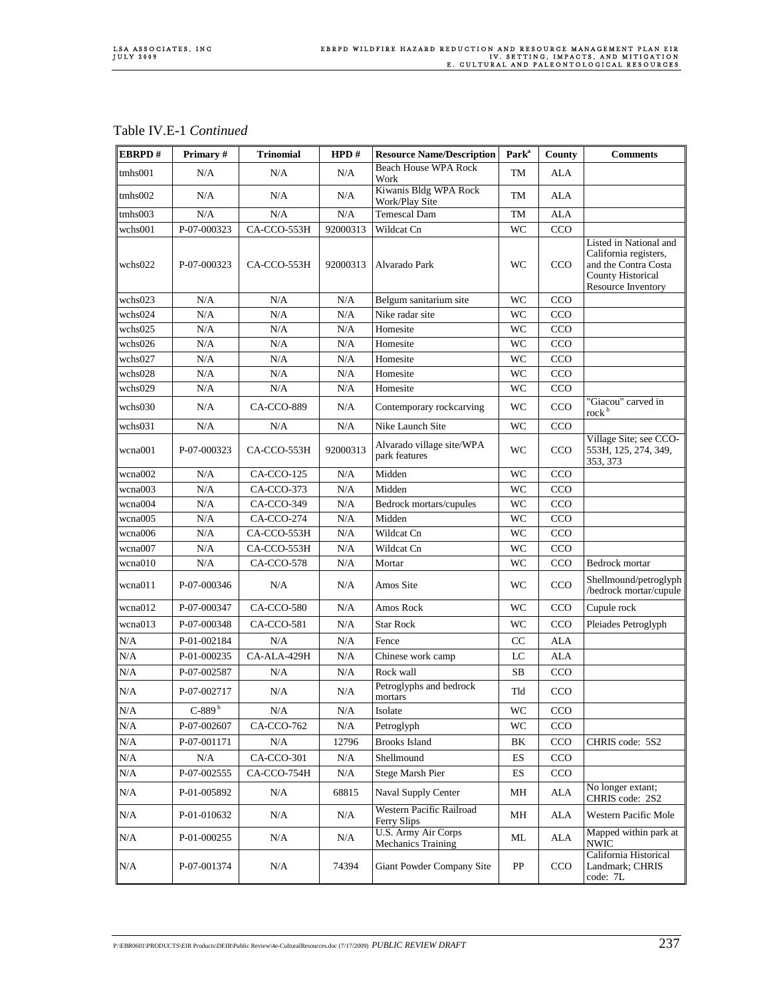### Table IV.E-1 *Continued*

| EBRPD#    | Primary#    | <b>Trinomial</b> | HPD#      | <b>Resource Name/Description</b>           | Park <sup>a</sup> | County      | <b>Comments</b>                                                                                                                  |
|-----------|-------------|------------------|-----------|--------------------------------------------|-------------------|-------------|----------------------------------------------------------------------------------------------------------------------------------|
| tmhs001   | N/A         | N/A              | N/A       | <b>Beach House WPA Rock</b><br>Work        | TM                | ALA         |                                                                                                                                  |
| tmhs002   | N/A         | N/A              | N/A       | Kiwanis Bldg WPA Rock<br>Work/Play Site    | TM                | ALA         |                                                                                                                                  |
| tmhs003   | N/A         | N/A              | N/A       | <b>Temescal Dam</b>                        | TM                | <b>ALA</b>  |                                                                                                                                  |
| wchs001   | P-07-000323 | CA-CCO-553H      | 92000313  | Wildcat Cn                                 | WC                | CCO         |                                                                                                                                  |
| wchs022   | P-07-000323 | CA-CCO-553H      | 92000313  | Alvarado Park                              | WC                | CCO         | Listed in National and<br>California registers,<br>and the Contra Costa<br><b>County Historical</b><br><b>Resource Inventory</b> |
| wchs023   | N/A         | N/A              | N/A       | Belgum sanitarium site                     | WC                | CCO         |                                                                                                                                  |
| wchs024   | N/A         | N/A              | N/A       | Nike radar site                            | <b>WC</b>         | CCO         |                                                                                                                                  |
| wchs025   | N/A         | N/A              | N/A       | Homesite                                   | WC                | CCO         |                                                                                                                                  |
| wchs026   | N/A         | N/A              | N/A       | Homesite                                   | WC                | CCO         |                                                                                                                                  |
| wchs027   | N/A         | N/A              | N/A       | Homesite                                   | WC                | CCO         |                                                                                                                                  |
| wchs028   | N/A         | N/A              | N/A       | Homesite                                   | <b>WC</b>         | CCO         |                                                                                                                                  |
| wchs029   | N/A         | N/A              | N/A       | Homesite                                   | WC                | CCO         |                                                                                                                                  |
| wchs030   | N/A         | CA-CCO-889       | N/A       | Contemporary rockcarving                   | WC                | CCO         | "Giacou" carved in<br>rock <sup>b</sup>                                                                                          |
| wchs031   | N/A         | N/A              | N/A       | Nike Launch Site                           | WC                | CCO         |                                                                                                                                  |
| wcna001   | P-07-000323 | CA-CCO-553H      | 92000313  | Alvarado village site/WPA<br>park features | <b>WC</b>         | CCO         | Village Site; see CCO-<br>553H, 125, 274, 349,<br>353, 373                                                                       |
| wcna002   | N/A         | CA-CCO-125       | N/A       | Midden                                     | WC                | CCO         |                                                                                                                                  |
| wcna003   | N/A         | CA-CCO-373       | N/A       | Midden                                     | WC                | CCO         |                                                                                                                                  |
| wcna004   | N/A         | CA-CCO-349       | N/A       | Bedrock mortars/cupules                    | WC                | CCO         |                                                                                                                                  |
| wcna005   | N/A         | CA-CCO-274       | $\rm N/A$ | Midden                                     | <b>WC</b>         | CCO         |                                                                                                                                  |
| wcna006   | N/A         | CA-CCO-553H      | N/A       | Wildcat Cn                                 | <b>WC</b>         | CCO         |                                                                                                                                  |
| wcna007   | N/A         | CA-CCO-553H      | N/A       | Wildcat Cn                                 | WC                | CCO         |                                                                                                                                  |
| wcna010   | N/A         | CA-CCO-578       | N/A       | Mortar                                     | WC                | CCO         | Bedrock mortar                                                                                                                   |
| wcna011   | P-07-000346 | N/A              | N/A       | Amos Site                                  | WC                | CCO         | Shellmound/petroglyph<br>/bedrock mortar/cupule                                                                                  |
| wcna012   | P-07-000347 | CA-CCO-580       | N/A       | Amos Rock                                  | WC                | CCO         | Cupule rock                                                                                                                      |
| wcna013   | P-07-000348 | CA-CCO-581       | N/A       | <b>Star Rock</b>                           | WC                | <b>CCO</b>  | Pleiades Petroglyph                                                                                                              |
| N/A       | P-01-002184 | N/A              | N/A       | Fence                                      | CC                | <b>ALA</b>  |                                                                                                                                  |
| N/A       | P-01-000235 | CA-ALA-429H      | N/A       | Chinese work camp                          | LC                | <b>ALA</b>  |                                                                                                                                  |
| N/A       | P-07-002587 | N/A              | N/A       | Rock wall                                  | <b>SB</b>         | CCO         |                                                                                                                                  |
| N/A       | P-07-002717 | N/A              | N/A       | Petroglyphs and bedrock<br>mortars         | Tld               | CCO         |                                                                                                                                  |
| N/A       | $C-889b$    | N/A              | N/A       | Isolate                                    | WC                | CCO         |                                                                                                                                  |
| N/A       | P-07-002607 | CA-CCO-762       | N/A       | Petroglyph                                 | WC                | CCO         |                                                                                                                                  |
| $\rm N/A$ | P-07-001171 | $\rm N/A$        | 12796     | <b>Brooks Island</b>                       | BK                | CCO         | CHRIS code: 5S2                                                                                                                  |
| N/A       | N/A         | CA-CCO-301       | N/A       | Shellmound                                 | ES                | CCO         |                                                                                                                                  |
| N/A       | P-07-002555 | CA-CCO-754H      | N/A       | Stege Marsh Pier                           | ${\rm ES}$        | CCO         |                                                                                                                                  |
| N/A       | P-01-005892 | N/A              | 68815     | Naval Supply Center                        | MН                | ALA         | No longer extant;<br>CHRIS code: 2S2                                                                                             |
| N/A       | P-01-010632 | N/A              | N/A       | Western Pacific Railroad<br>Ferry Slips    | MН                | ALA         | Western Pacific Mole                                                                                                             |
| N/A       | P-01-000255 | N/A              | N/A       | U.S. Army Air Corps<br>Mechanics Training  | ML                | ALA         | Mapped within park at<br><b>NWIC</b>                                                                                             |
| N/A       | P-07-001374 | N/A              | 74394     | Giant Powder Company Site                  | PP                | $_{\rm CO}$ | California Historical<br>Landmark; CHRIS<br>code: 7L                                                                             |